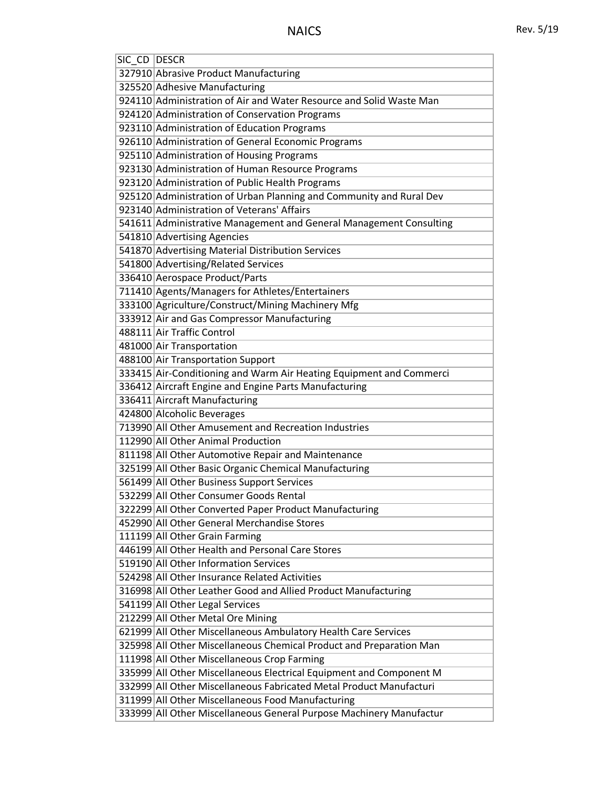| SIC_CD DESCR |                                                                     |
|--------------|---------------------------------------------------------------------|
|              | 327910 Abrasive Product Manufacturing                               |
|              | 325520 Adhesive Manufacturing                                       |
|              | 924110 Administration of Air and Water Resource and Solid Waste Man |
|              | 924120 Administration of Conservation Programs                      |
|              | 923110 Administration of Education Programs                         |
|              | 926110 Administration of General Economic Programs                  |
|              | 925110 Administration of Housing Programs                           |
|              | 923130 Administration of Human Resource Programs                    |
|              | 923120 Administration of Public Health Programs                     |
|              | 925120 Administration of Urban Planning and Community and Rural Dev |
|              | 923140 Administration of Veterans' Affairs                          |
|              | 541611 Administrative Management and General Management Consulting  |
|              | 541810 Advertising Agencies                                         |
|              | 541870 Advertising Material Distribution Services                   |
|              | 541800 Advertising/Related Services                                 |
|              | 336410 Aerospace Product/Parts                                      |
|              | 711410 Agents/Managers for Athletes/Entertainers                    |
|              | 333100 Agriculture/Construct/Mining Machinery Mfg                   |
|              | 333912 Air and Gas Compressor Manufacturing                         |
|              | 488111 Air Traffic Control                                          |
|              | 481000 Air Transportation                                           |
|              | 488100 Air Transportation Support                                   |
|              | 333415 Air-Conditioning and Warm Air Heating Equipment and Commerci |
|              | 336412 Aircraft Engine and Engine Parts Manufacturing               |
|              | 336411 Aircraft Manufacturing                                       |
|              | 424800 Alcoholic Beverages                                          |
|              | 713990 All Other Amusement and Recreation Industries                |
|              | 112990 All Other Animal Production                                  |
|              | 811198 All Other Automotive Repair and Maintenance                  |
|              | 325199 All Other Basic Organic Chemical Manufacturing               |
|              | 561499 All Other Business Support Services                          |
|              | 532299 All Other Consumer Goods Rental                              |
|              | 322299 All Other Converted Paper Product Manufacturing              |
|              | 452990 All Other General Merchandise Stores                         |
|              | 111199 All Other Grain Farming                                      |
|              | 446199 All Other Health and Personal Care Stores                    |
|              | 519190 All Other Information Services                               |
|              | 524298 All Other Insurance Related Activities                       |
|              | 316998 All Other Leather Good and Allied Product Manufacturing      |
|              | 541199 All Other Legal Services                                     |
|              | 212299 All Other Metal Ore Mining                                   |
|              | 621999 All Other Miscellaneous Ambulatory Health Care Services      |
|              | 325998 All Other Miscellaneous Chemical Product and Preparation Man |
|              | 111998 All Other Miscellaneous Crop Farming                         |
|              | 335999 All Other Miscellaneous Electrical Equipment and Component M |
|              | 332999 All Other Miscellaneous Fabricated Metal Product Manufacturi |
|              | 311999 All Other Miscellaneous Food Manufacturing                   |
|              | 333999 All Other Miscellaneous General Purpose Machinery Manufactur |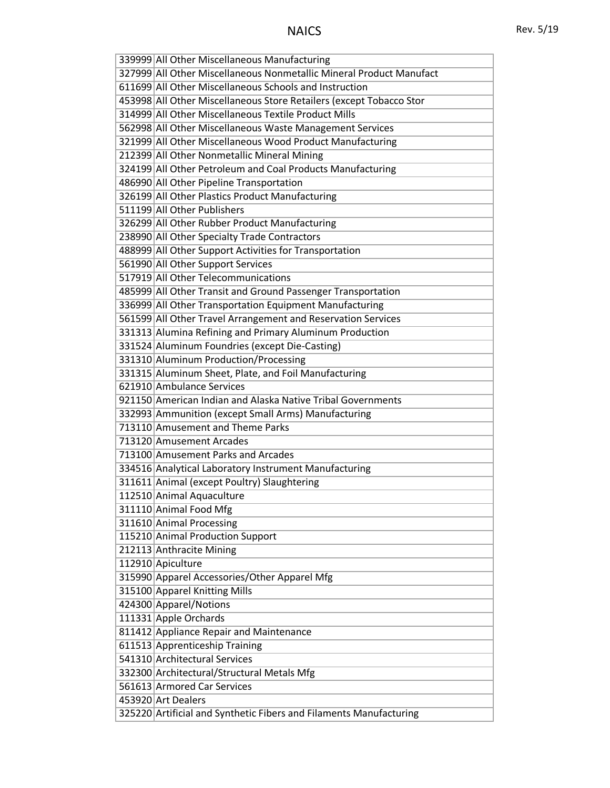| 339999 All Other Miscellaneous Manufacturing                        |  |
|---------------------------------------------------------------------|--|
| 327999 All Other Miscellaneous Nonmetallic Mineral Product Manufact |  |
| 611699 All Other Miscellaneous Schools and Instruction              |  |
| 453998 All Other Miscellaneous Store Retailers (except Tobacco Stor |  |
| 314999 All Other Miscellaneous Textile Product Mills                |  |
| 562998 All Other Miscellaneous Waste Management Services            |  |
| 321999 All Other Miscellaneous Wood Product Manufacturing           |  |
| 212399 All Other Nonmetallic Mineral Mining                         |  |
| 324199 All Other Petroleum and Coal Products Manufacturing          |  |
| 486990 All Other Pipeline Transportation                            |  |
| 326199 All Other Plastics Product Manufacturing                     |  |
| 511199 All Other Publishers                                         |  |
| 326299 All Other Rubber Product Manufacturing                       |  |
| 238990 All Other Specialty Trade Contractors                        |  |
| 488999 All Other Support Activities for Transportation              |  |
| 561990 All Other Support Services                                   |  |
| 517919 All Other Telecommunications                                 |  |
| 485999 All Other Transit and Ground Passenger Transportation        |  |
| 336999 All Other Transportation Equipment Manufacturing             |  |
| 561599 All Other Travel Arrangement and Reservation Services        |  |
| 331313 Alumina Refining and Primary Aluminum Production             |  |
| 331524 Aluminum Foundries (except Die-Casting)                      |  |
| 331310 Aluminum Production/Processing                               |  |
| 331315 Aluminum Sheet, Plate, and Foil Manufacturing                |  |
| 621910 Ambulance Services                                           |  |
| 921150 American Indian and Alaska Native Tribal Governments         |  |
| 332993 Ammunition (except Small Arms) Manufacturing                 |  |
| 713110 Amusement and Theme Parks                                    |  |
| 713120 Amusement Arcades                                            |  |
| 713100 Amusement Parks and Arcades                                  |  |
| 334516 Analytical Laboratory Instrument Manufacturing               |  |
| 311611 Animal (except Poultry) Slaughtering                         |  |
| 112510 Animal Aquaculture                                           |  |
| 311110 Animal Food Mfg                                              |  |
| 311610 Animal Processing                                            |  |
| 115210 Animal Production Support                                    |  |
| 212113 Anthracite Mining                                            |  |
| 112910 Apiculture                                                   |  |
| 315990 Apparel Accessories/Other Apparel Mfg                        |  |
| 315100 Apparel Knitting Mills                                       |  |
| 424300 Apparel/Notions                                              |  |
| 111331 Apple Orchards                                               |  |
| 811412 Appliance Repair and Maintenance                             |  |
| 611513 Apprenticeship Training                                      |  |
| 541310 Architectural Services                                       |  |
| 332300 Architectural/Structural Metals Mfg                          |  |
| 561613 Armored Car Services                                         |  |
| 453920 Art Dealers                                                  |  |
| 325220 Artificial and Synthetic Fibers and Filaments Manufacturing  |  |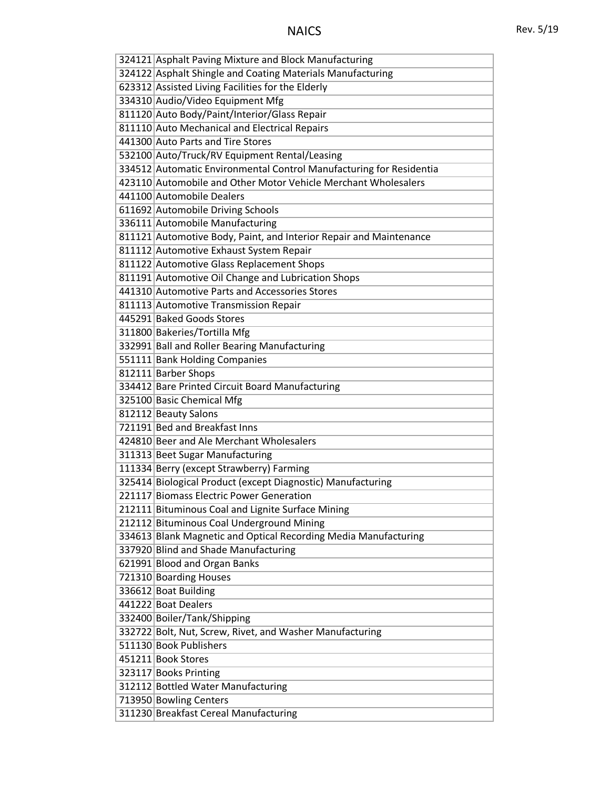|  | 324121 Asphalt Paving Mixture and Block Manufacturing               |
|--|---------------------------------------------------------------------|
|  | 324122 Asphalt Shingle and Coating Materials Manufacturing          |
|  | 623312 Assisted Living Facilities for the Elderly                   |
|  | 334310 Audio/Video Equipment Mfg                                    |
|  | 811120 Auto Body/Paint/Interior/Glass Repair                        |
|  | 811110 Auto Mechanical and Electrical Repairs                       |
|  | 441300 Auto Parts and Tire Stores                                   |
|  | 532100 Auto/Truck/RV Equipment Rental/Leasing                       |
|  | 334512 Automatic Environmental Control Manufacturing for Residentia |
|  | 423110 Automobile and Other Motor Vehicle Merchant Wholesalers      |
|  | 441100 Automobile Dealers                                           |
|  | 611692 Automobile Driving Schools                                   |
|  | 336111 Automobile Manufacturing                                     |
|  | 811121 Automotive Body, Paint, and Interior Repair and Maintenance  |
|  | 811112 Automotive Exhaust System Repair                             |
|  | 811122 Automotive Glass Replacement Shops                           |
|  | 811191 Automotive Oil Change and Lubrication Shops                  |
|  | 441310 Automotive Parts and Accessories Stores                      |
|  | 811113 Automotive Transmission Repair                               |
|  | 445291 Baked Goods Stores                                           |
|  | 311800 Bakeries/Tortilla Mfg                                        |
|  | 332991 Ball and Roller Bearing Manufacturing                        |
|  | 551111 Bank Holding Companies                                       |
|  | 812111 Barber Shops                                                 |
|  | 334412 Bare Printed Circuit Board Manufacturing                     |
|  | 325100 Basic Chemical Mfg                                           |
|  | 812112 Beauty Salons                                                |
|  | 721191 Bed and Breakfast Inns                                       |
|  | 424810 Beer and Ale Merchant Wholesalers                            |
|  | 311313 Beet Sugar Manufacturing                                     |
|  | 111334 Berry (except Strawberry) Farming                            |
|  | 325414 Biological Product (except Diagnostic) Manufacturing         |
|  | 221117 Biomass Electric Power Generation                            |
|  | 212111 Bituminous Coal and Lignite Surface Mining                   |
|  | 212112 Bituminous Coal Underground Mining                           |
|  | 334613 Blank Magnetic and Optical Recording Media Manufacturing     |
|  | 337920 Blind and Shade Manufacturing                                |
|  | 621991 Blood and Organ Banks                                        |
|  | 721310 Boarding Houses                                              |
|  | 336612 Boat Building                                                |
|  | 441222 Boat Dealers                                                 |
|  | 332400 Boiler/Tank/Shipping                                         |
|  | 332722 Bolt, Nut, Screw, Rivet, and Washer Manufacturing            |
|  | 511130 Book Publishers                                              |
|  | 451211 Book Stores                                                  |
|  | 323117 Books Printing                                               |
|  | 312112 Bottled Water Manufacturing                                  |
|  | 713950 Bowling Centers                                              |
|  | 311230 Breakfast Cereal Manufacturing                               |
|  |                                                                     |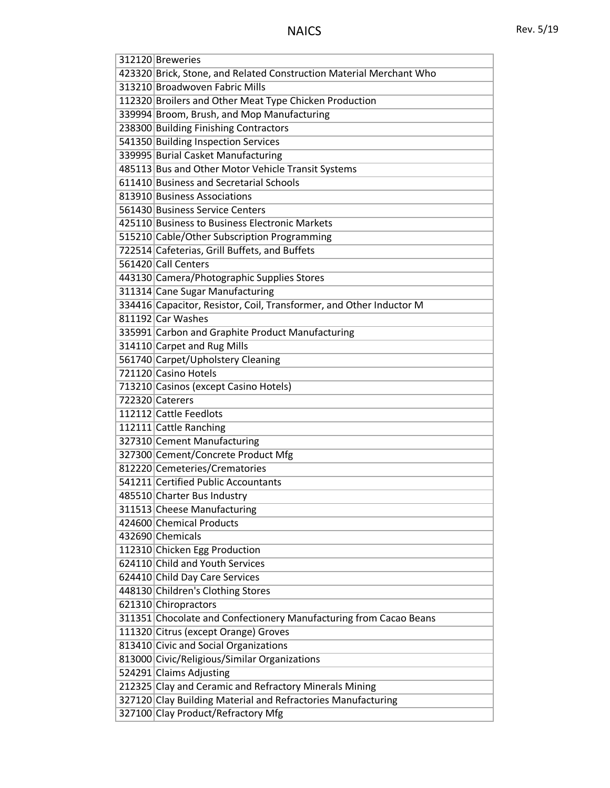| 312120 Breweries                                                    |
|---------------------------------------------------------------------|
| 423320 Brick, Stone, and Related Construction Material Merchant Who |
| 313210 Broadwoven Fabric Mills                                      |
| 112320 Broilers and Other Meat Type Chicken Production              |
| 339994 Broom, Brush, and Mop Manufacturing                          |
| 238300 Building Finishing Contractors                               |
| 541350 Building Inspection Services                                 |
| 339995 Burial Casket Manufacturing                                  |
| 485113 Bus and Other Motor Vehicle Transit Systems                  |
| 611410 Business and Secretarial Schools                             |
| 813910 Business Associations                                        |
| 561430 Business Service Centers                                     |
| 425110 Business to Business Electronic Markets                      |
| 515210 Cable/Other Subscription Programming                         |
| 722514 Cafeterias, Grill Buffets, and Buffets                       |
| 561420 Call Centers                                                 |
| 443130 Camera/Photographic Supplies Stores                          |
| 311314 Cane Sugar Manufacturing                                     |
| 334416 Capacitor, Resistor, Coil, Transformer, and Other Inductor M |
| 811192 Car Washes                                                   |
| 335991 Carbon and Graphite Product Manufacturing                    |
| 314110 Carpet and Rug Mills                                         |
| 561740 Carpet/Upholstery Cleaning                                   |
| 721120 Casino Hotels                                                |
| 713210 Casinos (except Casino Hotels)                               |
| 722320 Caterers                                                     |
| 112112 Cattle Feedlots                                              |
| 112111 Cattle Ranching                                              |
| 327310 Cement Manufacturing                                         |
| 327300 Cement/Concrete Product Mfg                                  |
| 812220 Cemeteries/Crematories                                       |
| 541211 Certified Public Accountants                                 |
| 485510 Charter Bus Industry                                         |
| 311513 Cheese Manufacturing                                         |
| 424600 Chemical Products                                            |
| 432690 Chemicals                                                    |
| 112310 Chicken Egg Production                                       |
| 624110 Child and Youth Services                                     |
| 624410 Child Day Care Services                                      |
| 448130 Children's Clothing Stores                                   |
| 621310 Chiropractors                                                |
| 311351 Chocolate and Confectionery Manufacturing from Cacao Beans   |
| 111320 Citrus (except Orange) Groves                                |
| 813410 Civic and Social Organizations                               |
| 813000 Civic/Religious/Similar Organizations                        |
| 524291 Claims Adjusting                                             |
| 212325 Clay and Ceramic and Refractory Minerals Mining              |
| 327120 Clay Building Material and Refractories Manufacturing        |
| 327100 Clay Product/Refractory Mfg                                  |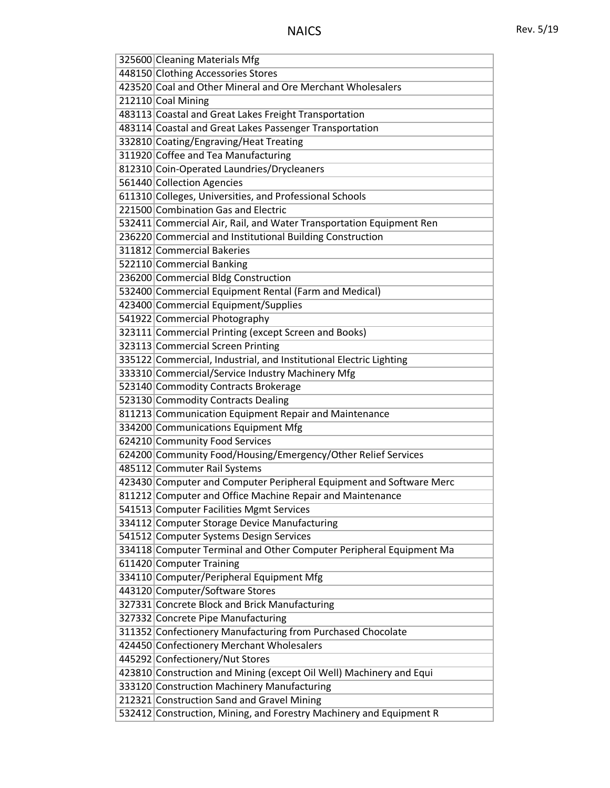| 325600 Cleaning Materials Mfg                                       |
|---------------------------------------------------------------------|
| 448150 Clothing Accessories Stores                                  |
| 423520 Coal and Other Mineral and Ore Merchant Wholesalers          |
| 212110 Coal Mining                                                  |
| 483113 Coastal and Great Lakes Freight Transportation               |
| 483114 Coastal and Great Lakes Passenger Transportation             |
| 332810 Coating/Engraving/Heat Treating                              |
| 311920 Coffee and Tea Manufacturing                                 |
| 812310 Coin-Operated Laundries/Drycleaners                          |
| 561440 Collection Agencies                                          |
| 611310 Colleges, Universities, and Professional Schools             |
| 221500 Combination Gas and Electric                                 |
| 532411 Commercial Air, Rail, and Water Transportation Equipment Ren |
| 236220 Commercial and Institutional Building Construction           |
| 311812 Commercial Bakeries                                          |
| 522110 Commercial Banking                                           |
| 236200 Commercial Bldg Construction                                 |
| 532400 Commercial Equipment Rental (Farm and Medical)               |
| 423400 Commercial Equipment/Supplies                                |
| 541922 Commercial Photography                                       |
| 323111 Commercial Printing (except Screen and Books)                |
| 323113 Commercial Screen Printing                                   |
| 335122 Commercial, Industrial, and Institutional Electric Lighting  |
| 333310 Commercial/Service Industry Machinery Mfg                    |
| 523140 Commodity Contracts Brokerage                                |
| 523130 Commodity Contracts Dealing                                  |
| 811213 Communication Equipment Repair and Maintenance               |
| 334200 Communications Equipment Mfg                                 |
| 624210 Community Food Services                                      |
| 624200 Community Food/Housing/Emergency/Other Relief Services       |
| 485112 Commuter Rail Systems                                        |
| 423430 Computer and Computer Peripheral Equipment and Software Merc |
| 811212 Computer and Office Machine Repair and Maintenance           |
| 541513 Computer Facilities Mgmt Services                            |
| 334112 Computer Storage Device Manufacturing                        |
| 541512 Computer Systems Design Services                             |
| 334118 Computer Terminal and Other Computer Peripheral Equipment Ma |
| 611420 Computer Training                                            |
| 334110 Computer/Peripheral Equipment Mfg                            |
| 443120 Computer/Software Stores                                     |
| 327331 Concrete Block and Brick Manufacturing                       |
| 327332 Concrete Pipe Manufacturing                                  |
| 311352 Confectionery Manufacturing from Purchased Chocolate         |
| 424450 Confectionery Merchant Wholesalers                           |
| 445292 Confectionery/Nut Stores                                     |
| 423810 Construction and Mining (except Oil Well) Machinery and Equi |
| 333120 Construction Machinery Manufacturing                         |
| 212321 Construction Sand and Gravel Mining                          |
| 532412 Construction, Mining, and Forestry Machinery and Equipment R |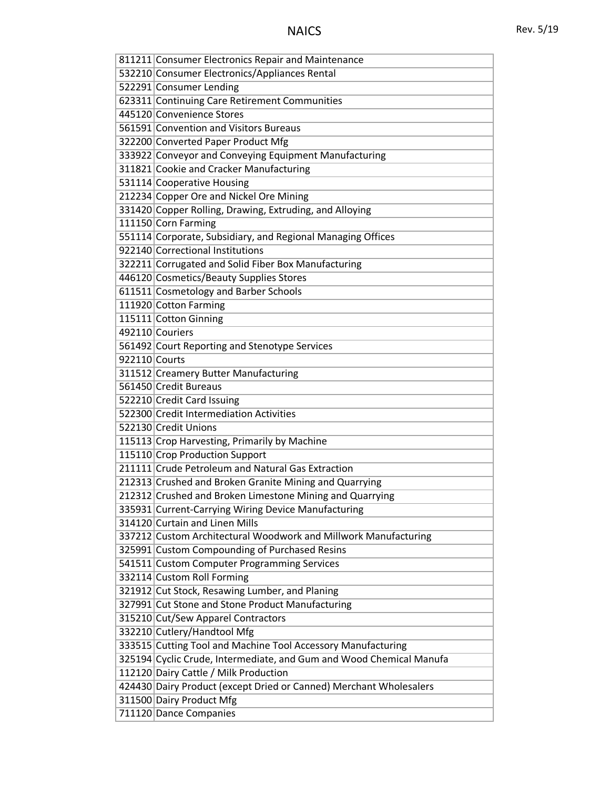| 811211 Consumer Electronics Repair and Maintenance                  |
|---------------------------------------------------------------------|
| 532210 Consumer Electronics/Appliances Rental                       |
| 522291 Consumer Lending                                             |
| 623311 Continuing Care Retirement Communities                       |
| 445120 Convenience Stores                                           |
| 561591 Convention and Visitors Bureaus                              |
| 322200 Converted Paper Product Mfg                                  |
| 333922 Conveyor and Conveying Equipment Manufacturing               |
| 311821 Cookie and Cracker Manufacturing                             |
| 531114 Cooperative Housing                                          |
| 212234 Copper Ore and Nickel Ore Mining                             |
| 331420 Copper Rolling, Drawing, Extruding, and Alloying             |
| 111150 Corn Farming                                                 |
| 551114 Corporate, Subsidiary, and Regional Managing Offices         |
| 922140 Correctional Institutions                                    |
| 322211 Corrugated and Solid Fiber Box Manufacturing                 |
| 446120 Cosmetics/Beauty Supplies Stores                             |
| 611511 Cosmetology and Barber Schools                               |
| 111920 Cotton Farming                                               |
| 115111 Cotton Ginning                                               |
| 492110 Couriers                                                     |
| 561492 Court Reporting and Stenotype Services                       |
| 922110 Courts                                                       |
| 311512 Creamery Butter Manufacturing                                |
| 561450 Credit Bureaus                                               |
| 522210 Credit Card Issuing                                          |
| 522300 Credit Intermediation Activities                             |
| 522130 Credit Unions                                                |
| 115113 Crop Harvesting, Primarily by Machine                        |
| 115110 Crop Production Support                                      |
| 211111 Crude Petroleum and Natural Gas Extraction                   |
| 212313 Crushed and Broken Granite Mining and Quarrying              |
| 212312 Crushed and Broken Limestone Mining and Quarrying            |
| 335931 Current-Carrying Wiring Device Manufacturing                 |
| 314120 Curtain and Linen Mills                                      |
| 337212 Custom Architectural Woodwork and Millwork Manufacturing     |
| 325991 Custom Compounding of Purchased Resins                       |
| 541511 Custom Computer Programming Services                         |
| 332114 Custom Roll Forming                                          |
| 321912 Cut Stock, Resawing Lumber, and Planing                      |
| 327991 Cut Stone and Stone Product Manufacturing                    |
| 315210 Cut/Sew Apparel Contractors                                  |
| 332210 Cutlery/Handtool Mfg                                         |
| 333515 Cutting Tool and Machine Tool Accessory Manufacturing        |
| 325194 Cyclic Crude, Intermediate, and Gum and Wood Chemical Manufa |
| 112120 Dairy Cattle / Milk Production                               |
| 424430 Dairy Product (except Dried or Canned) Merchant Wholesalers  |
| 311500 Dairy Product Mfg                                            |
| 711120 Dance Companies                                              |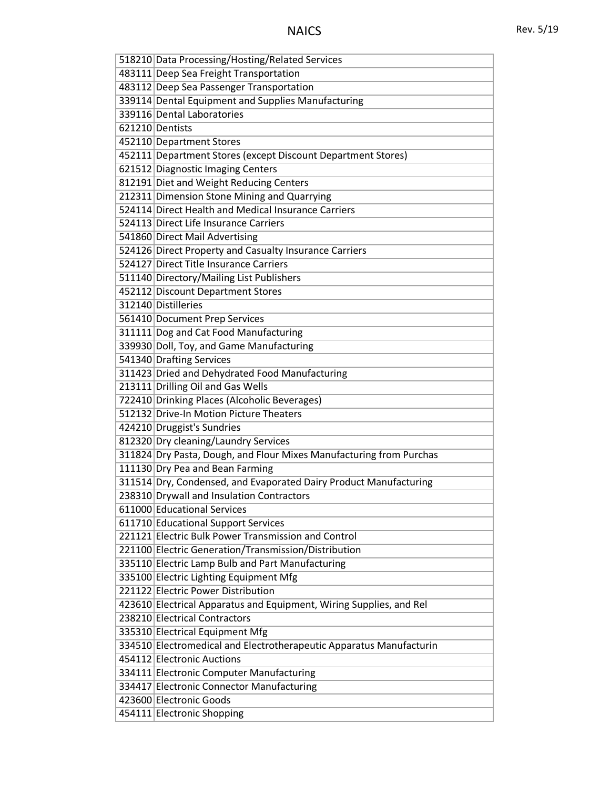| 518210 Data Processing/Hosting/Related Services                     |
|---------------------------------------------------------------------|
| 483111 Deep Sea Freight Transportation                              |
| 483112 Deep Sea Passenger Transportation                            |
| 339114 Dental Equipment and Supplies Manufacturing                  |
| 339116 Dental Laboratories                                          |
| 621210 Dentists                                                     |
| 452110 Department Stores                                            |
| 452111 Department Stores (except Discount Department Stores)        |
| 621512 Diagnostic Imaging Centers                                   |
| 812191 Diet and Weight Reducing Centers                             |
| 212311 Dimension Stone Mining and Quarrying                         |
| 524114 Direct Health and Medical Insurance Carriers                 |
| 524113 Direct Life Insurance Carriers                               |
| 541860 Direct Mail Advertising                                      |
| 524126 Direct Property and Casualty Insurance Carriers              |
| 524127 Direct Title Insurance Carriers                              |
| 511140 Directory/Mailing List Publishers                            |
| 452112 Discount Department Stores                                   |
| 312140 Distilleries                                                 |
| 561410 Document Prep Services                                       |
| 311111 Dog and Cat Food Manufacturing                               |
| 339930 Doll, Toy, and Game Manufacturing                            |
| 541340 Drafting Services                                            |
| 311423 Dried and Dehydrated Food Manufacturing                      |
| 213111 Drilling Oil and Gas Wells                                   |
| 722410 Drinking Places (Alcoholic Beverages)                        |
| 512132 Drive-In Motion Picture Theaters                             |
| 424210 Druggist's Sundries                                          |
| 812320 Dry cleaning/Laundry Services                                |
| 311824 Dry Pasta, Dough, and Flour Mixes Manufacturing from Purchas |
| 111130 Dry Pea and Bean Farming                                     |
| 311514 Dry, Condensed, and Evaporated Dairy Product Manufacturing   |
| 238310 Drywall and Insulation Contractors                           |
| 611000 Educational Services                                         |
| 611710 Educational Support Services                                 |
| 221121 Electric Bulk Power Transmission and Control                 |
| 221100 Electric Generation/Transmission/Distribution                |
| 335110 Electric Lamp Bulb and Part Manufacturing                    |
| 335100 Electric Lighting Equipment Mfg                              |
| 221122 Electric Power Distribution                                  |
| 423610 Electrical Apparatus and Equipment, Wiring Supplies, and Rel |
| 238210 Electrical Contractors                                       |
| 335310 Electrical Equipment Mfg                                     |
| 334510 Electromedical and Electrotherapeutic Apparatus Manufacturin |
| 454112 Electronic Auctions                                          |
| 334111 Electronic Computer Manufacturing                            |
| 334417 Electronic Connector Manufacturing                           |
| 423600 Electronic Goods                                             |
| 454111 Electronic Shopping                                          |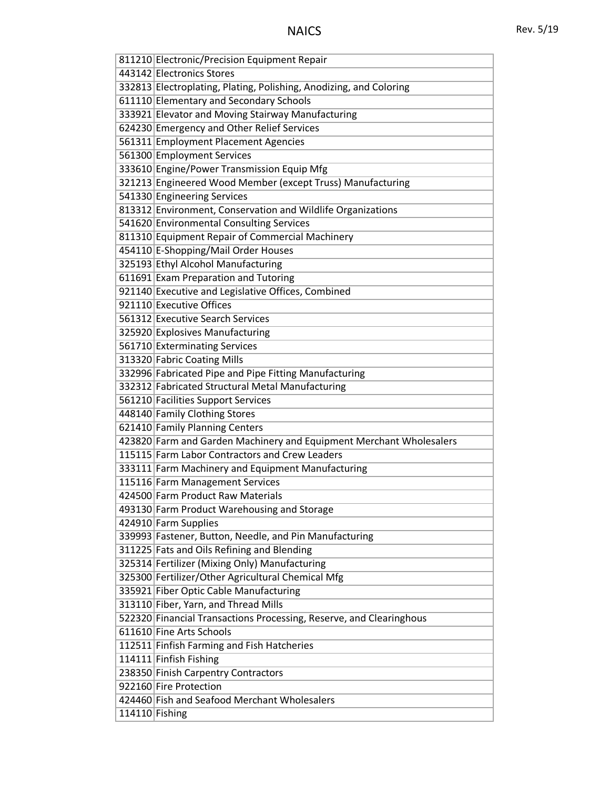| 811210 Electronic/Precision Equipment Repair                        |
|---------------------------------------------------------------------|
| 443142 Electronics Stores                                           |
| 332813 Electroplating, Plating, Polishing, Anodizing, and Coloring  |
| 611110 Elementary and Secondary Schools                             |
| 333921 Elevator and Moving Stairway Manufacturing                   |
| 624230 Emergency and Other Relief Services                          |
| 561311 Employment Placement Agencies                                |
| 561300 Employment Services                                          |
| 333610 Engine/Power Transmission Equip Mfg                          |
| 321213 Engineered Wood Member (except Truss) Manufacturing          |
| 541330 Engineering Services                                         |
| 813312 Environment, Conservation and Wildlife Organizations         |
| 541620 Environmental Consulting Services                            |
| 811310 Equipment Repair of Commercial Machinery                     |
| 454110 E-Shopping/Mail Order Houses                                 |
| 325193 Ethyl Alcohol Manufacturing                                  |
| 611691 Exam Preparation and Tutoring                                |
| 921140 Executive and Legislative Offices, Combined                  |
| 921110 Executive Offices                                            |
| 561312 Executive Search Services                                    |
| 325920 Explosives Manufacturing                                     |
| 561710 Exterminating Services                                       |
| 313320 Fabric Coating Mills                                         |
| 332996 Fabricated Pipe and Pipe Fitting Manufacturing               |
| 332312 Fabricated Structural Metal Manufacturing                    |
| 561210 Facilities Support Services                                  |
| 448140 Family Clothing Stores                                       |
| 621410 Family Planning Centers                                      |
| 423820 Farm and Garden Machinery and Equipment Merchant Wholesalers |
| 115115 Farm Labor Contractors and Crew Leaders                      |
| 333111 Farm Machinery and Equipment Manufacturing                   |
| 115116 Farm Management Services                                     |
| 424500 Farm Product Raw Materials                                   |
| 493130 Farm Product Warehousing and Storage                         |
| 424910 Farm Supplies                                                |
| 339993 Fastener, Button, Needle, and Pin Manufacturing              |
| 311225 Fats and Oils Refining and Blending                          |
| 325314 Fertilizer (Mixing Only) Manufacturing                       |
| 325300 Fertilizer/Other Agricultural Chemical Mfg                   |
| 335921 Fiber Optic Cable Manufacturing                              |
| 313110 Fiber, Yarn, and Thread Mills                                |
| 522320 Financial Transactions Processing, Reserve, and Clearinghous |
| 611610 Fine Arts Schools                                            |
| 112511 Finfish Farming and Fish Hatcheries                          |
| 114111 Finfish Fishing                                              |
| 238350 Finish Carpentry Contractors                                 |
| 922160 Fire Protection                                              |
| 424460 Fish and Seafood Merchant Wholesalers                        |
| 114110 Fishing                                                      |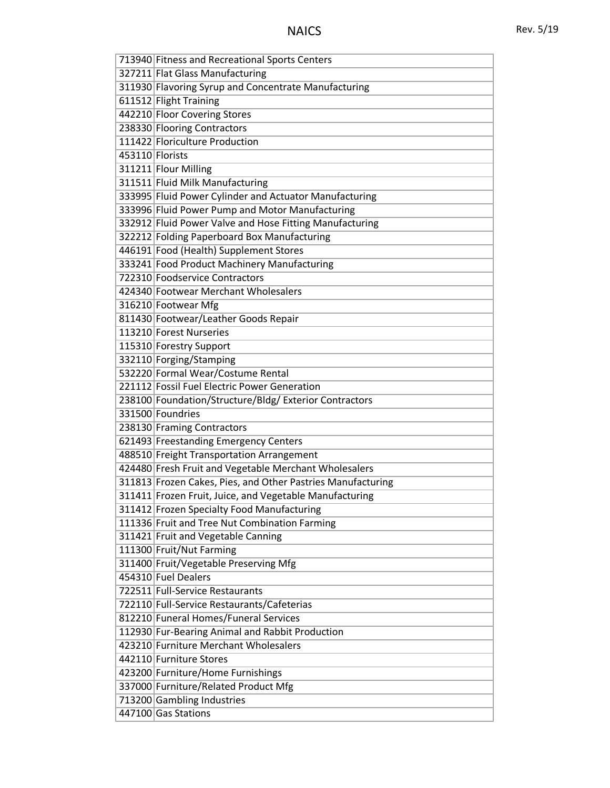| 713940 Fitness and Recreational Sports Centers              |
|-------------------------------------------------------------|
| 327211 Flat Glass Manufacturing                             |
| 311930 Flavoring Syrup and Concentrate Manufacturing        |
| 611512 Flight Training                                      |
| 442210 Floor Covering Stores                                |
| 238330 Flooring Contractors                                 |
| 111422 Floriculture Production                              |
| 453110 Florists                                             |
| 311211 Flour Milling                                        |
| 311511 Fluid Milk Manufacturing                             |
| 333995 Fluid Power Cylinder and Actuator Manufacturing      |
| 333996 Fluid Power Pump and Motor Manufacturing             |
| 332912 Fluid Power Valve and Hose Fitting Manufacturing     |
| 322212 Folding Paperboard Box Manufacturing                 |
| 446191 Food (Health) Supplement Stores                      |
| 333241 Food Product Machinery Manufacturing                 |
| 722310 Foodservice Contractors                              |
| 424340 Footwear Merchant Wholesalers                        |
| 316210 Footwear Mfg                                         |
| 811430 Footwear/Leather Goods Repair                        |
| 113210 Forest Nurseries                                     |
| 115310 Forestry Support                                     |
| 332110 Forging/Stamping                                     |
| 532220 Formal Wear/Costume Rental                           |
| 221112 Fossil Fuel Electric Power Generation                |
| 238100 Foundation/Structure/Bldg/ Exterior Contractors      |
| 331500 Foundries                                            |
| 238130 Framing Contractors                                  |
| 621493 Freestanding Emergency Centers                       |
| 488510 Freight Transportation Arrangement                   |
| 424480 Fresh Fruit and Vegetable Merchant Wholesalers       |
| 311813 Frozen Cakes, Pies, and Other Pastries Manufacturing |
| 311411 Frozen Fruit, Juice, and Vegetable Manufacturing     |
| 311412 Frozen Specialty Food Manufacturing                  |
| 111336 Fruit and Tree Nut Combination Farming               |
| 311421 Fruit and Vegetable Canning                          |
| 111300 Fruit/Nut Farming                                    |
| 311400 Fruit/Vegetable Preserving Mfg                       |
| 454310 Fuel Dealers                                         |
| 722511 Full-Service Restaurants                             |
| 722110 Full-Service Restaurants/Cafeterias                  |
| 812210 Funeral Homes/Funeral Services                       |
| 112930 Fur-Bearing Animal and Rabbit Production             |
| 423210 Furniture Merchant Wholesalers                       |
| 442110 Furniture Stores                                     |
| 423200 Furniture/Home Furnishings                           |
| 337000 Furniture/Related Product Mfg                        |
| 713200 Gambling Industries                                  |
| 447100 Gas Stations                                         |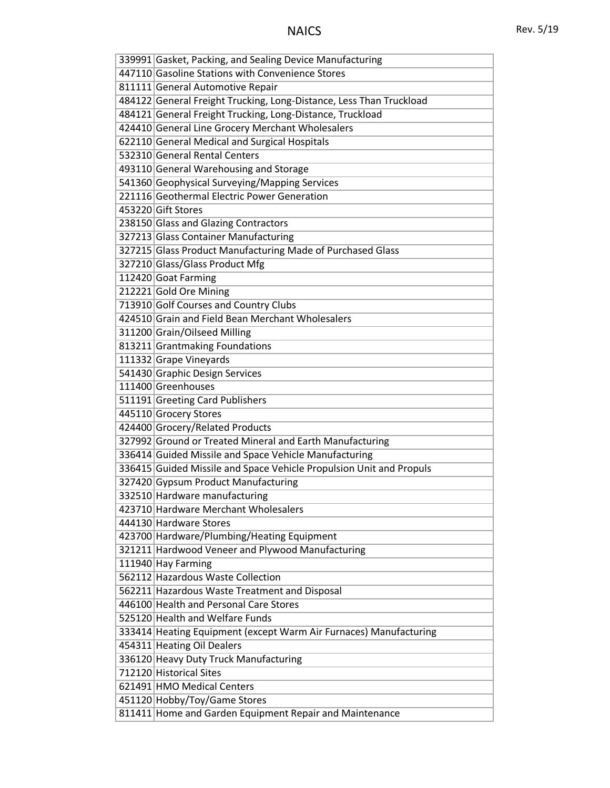| 339991 Gasket, Packing, and Sealing Device Manufacturing            |
|---------------------------------------------------------------------|
| 447110 Gasoline Stations with Convenience Stores                    |
| 811111 General Automotive Repair                                    |
| 484122 General Freight Trucking, Long-Distance, Less Than Truckload |
| 484121 General Freight Trucking, Long-Distance, Truckload           |
| 424410 General Line Grocery Merchant Wholesalers                    |
| 622110 General Medical and Surgical Hospitals                       |
| 532310 General Rental Centers                                       |
| 493110 General Warehousing and Storage                              |
| 541360 Geophysical Surveying/Mapping Services                       |
| 221116 Geothermal Electric Power Generation                         |
| 453220 Gift Stores                                                  |
| 238150 Glass and Glazing Contractors                                |
| 327213 Glass Container Manufacturing                                |
| 327215 Glass Product Manufacturing Made of Purchased Glass          |
| 327210 Glass/Glass Product Mfg                                      |
| 112420 Goat Farming                                                 |
| 212221 Gold Ore Mining                                              |
| 713910 Golf Courses and Country Clubs                               |
| 424510 Grain and Field Bean Merchant Wholesalers                    |
| 311200 Grain/Oilseed Milling                                        |
| 813211 Grantmaking Foundations                                      |
| 111332 Grape Vineyards                                              |
| 541430 Graphic Design Services                                      |
| 111400 Greenhouses                                                  |
| 511191 Greeting Card Publishers                                     |
| 445110 Grocery Stores                                               |
| 424400 Grocery/Related Products                                     |
| 327992 Ground or Treated Mineral and Earth Manufacturing            |
| 336414 Guided Missile and Space Vehicle Manufacturing               |
| 336415 Guided Missile and Space Vehicle Propulsion Unit and Propuls |
| 327420 Gypsum Product Manufacturing                                 |
| 332510 Hardware manufacturing                                       |
| 423710 Hardware Merchant Wholesalers                                |
| 444130 Hardware Stores                                              |
| 423700 Hardware/Plumbing/Heating Equipment                          |
| 321211 Hardwood Veneer and Plywood Manufacturing                    |
| 111940 Hay Farming                                                  |
| 562112 Hazardous Waste Collection                                   |
| 562211 Hazardous Waste Treatment and Disposal                       |
| 446100 Health and Personal Care Stores                              |
| 525120 Health and Welfare Funds                                     |
| 333414 Heating Equipment (except Warm Air Furnaces) Manufacturing   |
| 454311 Heating Oil Dealers                                          |
| 336120 Heavy Duty Truck Manufacturing                               |
| 712120 Historical Sites                                             |
| 621491 HMO Medical Centers                                          |
| 451120 Hobby/Toy/Game Stores                                        |
| 811411 Home and Garden Equipment Repair and Maintenance             |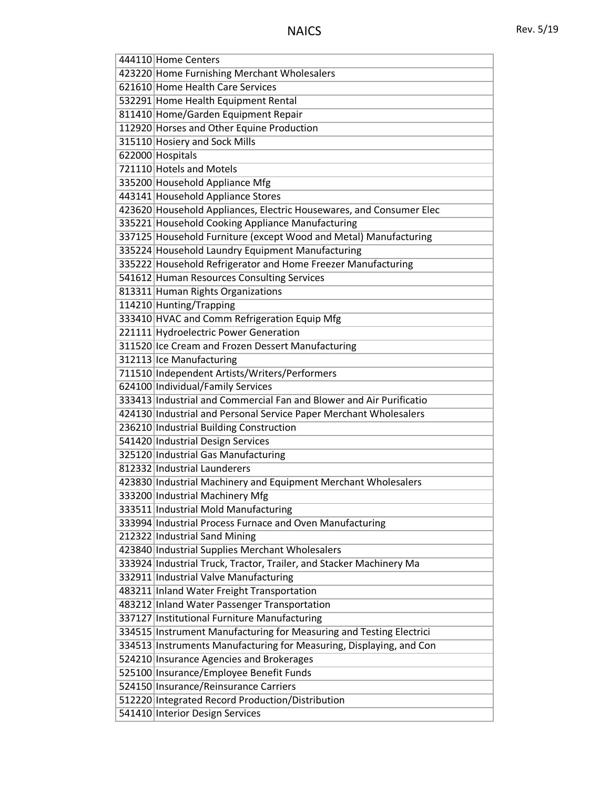| 444110 Home Centers                                                 |
|---------------------------------------------------------------------|
| 423220 Home Furnishing Merchant Wholesalers                         |
| 621610 Home Health Care Services                                    |
| 532291 Home Health Equipment Rental                                 |
| 811410 Home/Garden Equipment Repair                                 |
| 112920 Horses and Other Equine Production                           |
| 315110 Hosiery and Sock Mills                                       |
| 622000 Hospitals                                                    |
| 721110 Hotels and Motels                                            |
| 335200 Household Appliance Mfg                                      |
| 443141 Household Appliance Stores                                   |
| 423620 Household Appliances, Electric Housewares, and Consumer Elec |
| 335221 Household Cooking Appliance Manufacturing                    |
| 337125 Household Furniture (except Wood and Metal) Manufacturing    |
| 335224 Household Laundry Equipment Manufacturing                    |
| 335222 Household Refrigerator and Home Freezer Manufacturing        |
| 541612 Human Resources Consulting Services                          |
| 813311 Human Rights Organizations                                   |
| 114210 Hunting/Trapping                                             |
| 333410 HVAC and Comm Refrigeration Equip Mfg                        |
| 221111 Hydroelectric Power Generation                               |
| 311520 Ice Cream and Frozen Dessert Manufacturing                   |
| 312113 Ice Manufacturing                                            |
| 711510 Independent Artists/Writers/Performers                       |
| 624100 Individual/Family Services                                   |
| 333413 Industrial and Commercial Fan and Blower and Air Purificatio |
| 424130 Industrial and Personal Service Paper Merchant Wholesalers   |
| 236210 Industrial Building Construction                             |
| 541420 Industrial Design Services                                   |
| 325120 Industrial Gas Manufacturing                                 |
| 812332 Industrial Launderers                                        |
| 423830 Industrial Machinery and Equipment Merchant Wholesalers      |
| 333200 Industrial Machinery Mfg                                     |
| 333511 Industrial Mold Manufacturing                                |
| 333994 Industrial Process Furnace and Oven Manufacturing            |
| 212322 Industrial Sand Mining                                       |
| 423840 Industrial Supplies Merchant Wholesalers                     |
| 333924 Industrial Truck, Tractor, Trailer, and Stacker Machinery Ma |
| 332911 Industrial Valve Manufacturing                               |
| 483211 Inland Water Freight Transportation                          |
| 483212 Inland Water Passenger Transportation                        |
| 337127 Institutional Furniture Manufacturing                        |
| 334515 Instrument Manufacturing for Measuring and Testing Electrici |
| 334513 Instruments Manufacturing for Measuring, Displaying, and Con |
| 524210 Insurance Agencies and Brokerages                            |
| 525100 Insurance/Employee Benefit Funds                             |
| 524150 Insurance/Reinsurance Carriers                               |
| 512220 Integrated Record Production/Distribution                    |
|                                                                     |
| 541410 Interior Design Services                                     |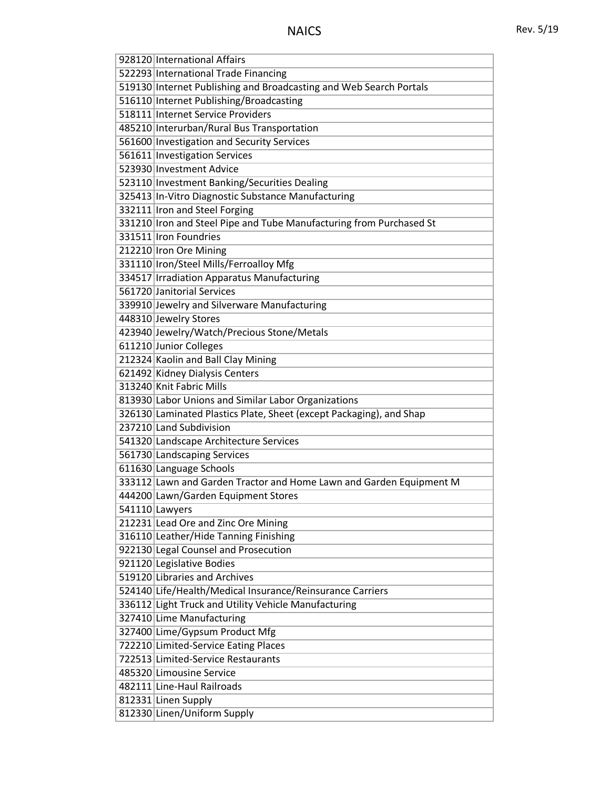| 928120 International Affairs                                        |
|---------------------------------------------------------------------|
| 522293 International Trade Financing                                |
| 519130 Internet Publishing and Broadcasting and Web Search Portals  |
| 516110 Internet Publishing/Broadcasting                             |
| 518111 Internet Service Providers                                   |
| 485210 Interurban/Rural Bus Transportation                          |
| 561600 Investigation and Security Services                          |
| 561611 Investigation Services                                       |
| 523930 Investment Advice                                            |
| 523110 Investment Banking/Securities Dealing                        |
| 325413 In-Vitro Diagnostic Substance Manufacturing                  |
| 332111 Iron and Steel Forging                                       |
| 331210 Iron and Steel Pipe and Tube Manufacturing from Purchased St |
| 331511 Iron Foundries                                               |
| 212210 Iron Ore Mining                                              |
| 331110 Iron/Steel Mills/Ferroalloy Mfg                              |
| 334517 Irradiation Apparatus Manufacturing                          |
| 561720 Janitorial Services                                          |
| 339910 Jewelry and Silverware Manufacturing                         |
| 448310 Jewelry Stores                                               |
| 423940 Jewelry/Watch/Precious Stone/Metals                          |
| 611210 Junior Colleges                                              |
| 212324 Kaolin and Ball Clay Mining                                  |
| 621492 Kidney Dialysis Centers                                      |
| 313240 Knit Fabric Mills                                            |
| 813930 Labor Unions and Similar Labor Organizations                 |
| 326130 Laminated Plastics Plate, Sheet (except Packaging), and Shap |
| 237210 Land Subdivision                                             |
| 541320 Landscape Architecture Services                              |
| 561730 Landscaping Services                                         |
| 611630 Language Schools                                             |
| 333112 Lawn and Garden Tractor and Home Lawn and Garden Equipment M |
| 444200 Lawn/Garden Equipment Stores                                 |
| 541110 Lawyers                                                      |
| 212231 Lead Ore and Zinc Ore Mining                                 |
| 316110 Leather/Hide Tanning Finishing                               |
| 922130 Legal Counsel and Prosecution                                |
| 921120 Legislative Bodies                                           |
| 519120 Libraries and Archives                                       |
| 524140 Life/Health/Medical Insurance/Reinsurance Carriers           |
| 336112 Light Truck and Utility Vehicle Manufacturing                |
| 327410 Lime Manufacturing                                           |
| 327400 Lime/Gypsum Product Mfg                                      |
| 722210 Limited-Service Eating Places                                |
| 722513 Limited-Service Restaurants                                  |
| 485320 Limousine Service                                            |
| 482111 Line-Haul Railroads                                          |
| 812331 Linen Supply                                                 |
| 812330 Linen/Uniform Supply                                         |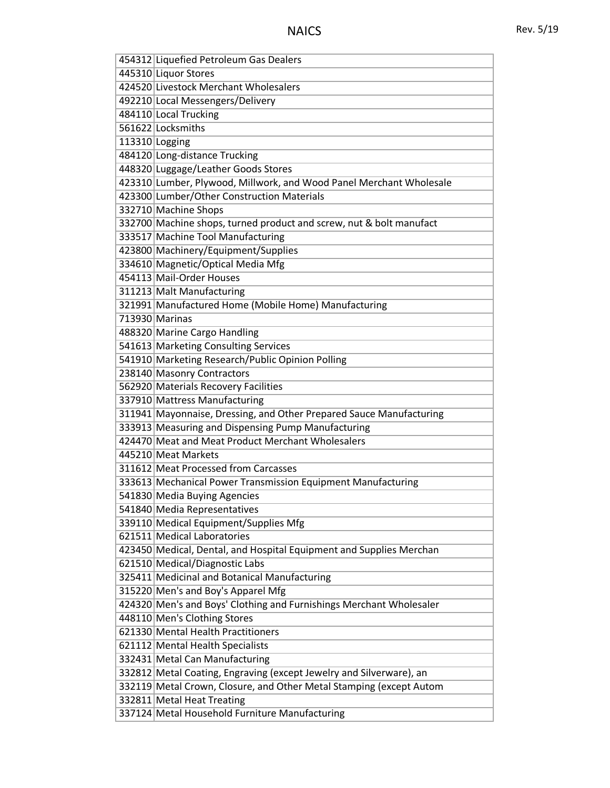| 454312 Liquefied Petroleum Gas Dealers                              |
|---------------------------------------------------------------------|
| 445310 Liquor Stores                                                |
| 424520 Livestock Merchant Wholesalers                               |
| 492210 Local Messengers/Delivery                                    |
| 484110 Local Trucking                                               |
| 561622 Locksmiths                                                   |
| 113310 Logging                                                      |
| 484120 Long-distance Trucking                                       |
| 448320 Luggage/Leather Goods Stores                                 |
| 423310 Lumber, Plywood, Millwork, and Wood Panel Merchant Wholesale |
| 423300 Lumber/Other Construction Materials                          |
| 332710 Machine Shops                                                |
| 332700 Machine shops, turned product and screw, nut & bolt manufact |
| 333517 Machine Tool Manufacturing                                   |
| 423800 Machinery/Equipment/Supplies                                 |
| 334610 Magnetic/Optical Media Mfg                                   |
| 454113 Mail-Order Houses                                            |
| 311213 Malt Manufacturing                                           |
| 321991 Manufactured Home (Mobile Home) Manufacturing                |
| 713930 Marinas                                                      |
| 488320 Marine Cargo Handling                                        |
| 541613 Marketing Consulting Services                                |
| 541910 Marketing Research/Public Opinion Polling                    |
| 238140 Masonry Contractors                                          |
| 562920 Materials Recovery Facilities                                |
| 337910 Mattress Manufacturing                                       |
| 311941 Mayonnaise, Dressing, and Other Prepared Sauce Manufacturing |
| 333913 Measuring and Dispensing Pump Manufacturing                  |
| 424470 Meat and Meat Product Merchant Wholesalers                   |
| 445210 Meat Markets                                                 |
| 311612 Meat Processed from Carcasses                                |
| 333613 Mechanical Power Transmission Equipment Manufacturing        |
| 541830 Media Buying Agencies                                        |
| 541840 Media Representatives                                        |
| 339110 Medical Equipment/Supplies Mfg                               |
| 621511 Medical Laboratories                                         |
| 423450 Medical, Dental, and Hospital Equipment and Supplies Merchan |
| 621510 Medical/Diagnostic Labs                                      |
| 325411 Medicinal and Botanical Manufacturing                        |
| 315220 Men's and Boy's Apparel Mfg                                  |
| 424320 Men's and Boys' Clothing and Furnishings Merchant Wholesaler |
| 448110 Men's Clothing Stores                                        |
| 621330 Mental Health Practitioners                                  |
| 621112 Mental Health Specialists                                    |
| 332431 Metal Can Manufacturing                                      |
| 332812 Metal Coating, Engraving (except Jewelry and Silverware), an |
| 332119 Metal Crown, Closure, and Other Metal Stamping (except Autom |
| 332811 Metal Heat Treating                                          |
| 337124 Metal Household Furniture Manufacturing                      |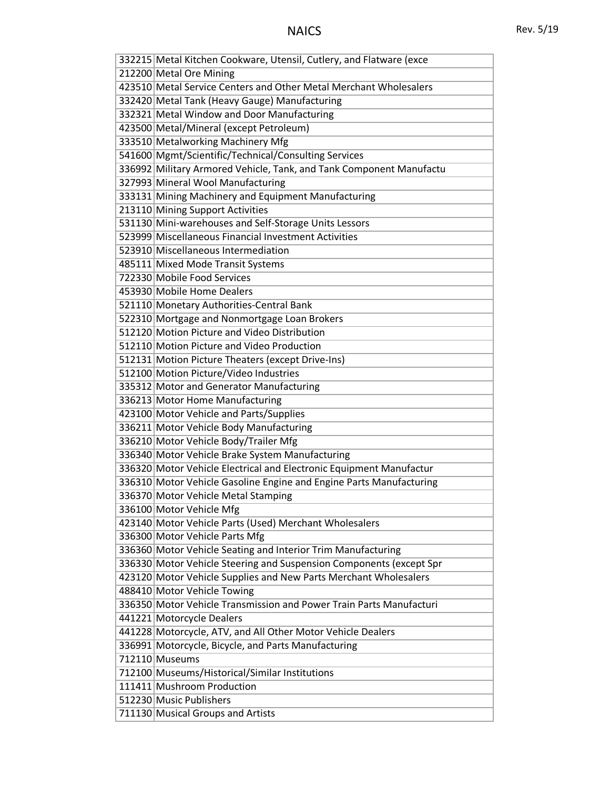| 332215 Metal Kitchen Cookware, Utensil, Cutlery, and Flatware (exce                                                                 |
|-------------------------------------------------------------------------------------------------------------------------------------|
| 212200 Metal Ore Mining                                                                                                             |
| 423510 Metal Service Centers and Other Metal Merchant Wholesalers                                                                   |
| 332420 Metal Tank (Heavy Gauge) Manufacturing                                                                                       |
| 332321 Metal Window and Door Manufacturing                                                                                          |
| 423500 Metal/Mineral (except Petroleum)                                                                                             |
| 333510 Metalworking Machinery Mfg                                                                                                   |
| 541600 Mgmt/Scientific/Technical/Consulting Services                                                                                |
| 336992 Military Armored Vehicle, Tank, and Tank Component Manufactu                                                                 |
| 327993 Mineral Wool Manufacturing                                                                                                   |
| 333131 Mining Machinery and Equipment Manufacturing                                                                                 |
| 213110 Mining Support Activities                                                                                                    |
| 531130 Mini-warehouses and Self-Storage Units Lessors                                                                               |
| 523999 Miscellaneous Financial Investment Activities                                                                                |
| 523910 Miscellaneous Intermediation                                                                                                 |
| 485111 Mixed Mode Transit Systems                                                                                                   |
| 722330 Mobile Food Services                                                                                                         |
| 453930 Mobile Home Dealers                                                                                                          |
| 521110 Monetary Authorities-Central Bank                                                                                            |
| 522310 Mortgage and Nonmortgage Loan Brokers                                                                                        |
| 512120 Motion Picture and Video Distribution                                                                                        |
| 512110 Motion Picture and Video Production                                                                                          |
| 512131 Motion Picture Theaters (except Drive-Ins)                                                                                   |
| 512100 Motion Picture/Video Industries                                                                                              |
| 335312 Motor and Generator Manufacturing                                                                                            |
| 336213 Motor Home Manufacturing                                                                                                     |
| 423100 Motor Vehicle and Parts/Supplies                                                                                             |
| 336211 Motor Vehicle Body Manufacturing                                                                                             |
| 336210 Motor Vehicle Body/Trailer Mfg                                                                                               |
| 336340 Motor Vehicle Brake System Manufacturing                                                                                     |
| 336320 Motor Vehicle Electrical and Electronic Equipment Manufactur                                                                 |
| 336310 Motor Vehicle Gasoline Engine and Engine Parts Manufacturing                                                                 |
| 336370 Motor Vehicle Metal Stamping                                                                                                 |
| 336100 Motor Vehicle Mfg                                                                                                            |
| 423140 Motor Vehicle Parts (Used) Merchant Wholesalers                                                                              |
| 336300 Motor Vehicle Parts Mfg                                                                                                      |
| 336360 Motor Vehicle Seating and Interior Trim Manufacturing<br>336330 Motor Vehicle Steering and Suspension Components (except Spr |
|                                                                                                                                     |
| 423120 Motor Vehicle Supplies and New Parts Merchant Wholesalers<br>488410 Motor Vehicle Towing                                     |
| 336350 Motor Vehicle Transmission and Power Train Parts Manufacturi                                                                 |
| 441221 Motorcycle Dealers                                                                                                           |
| 441228 Motorcycle, ATV, and All Other Motor Vehicle Dealers                                                                         |
| 336991 Motorcycle, Bicycle, and Parts Manufacturing                                                                                 |
| 712110 Museums                                                                                                                      |
| 712100 Museums/Historical/Similar Institutions                                                                                      |
| 111411 Mushroom Production                                                                                                          |
| 512230 Music Publishers                                                                                                             |
| 711130 Musical Groups and Artists                                                                                                   |
|                                                                                                                                     |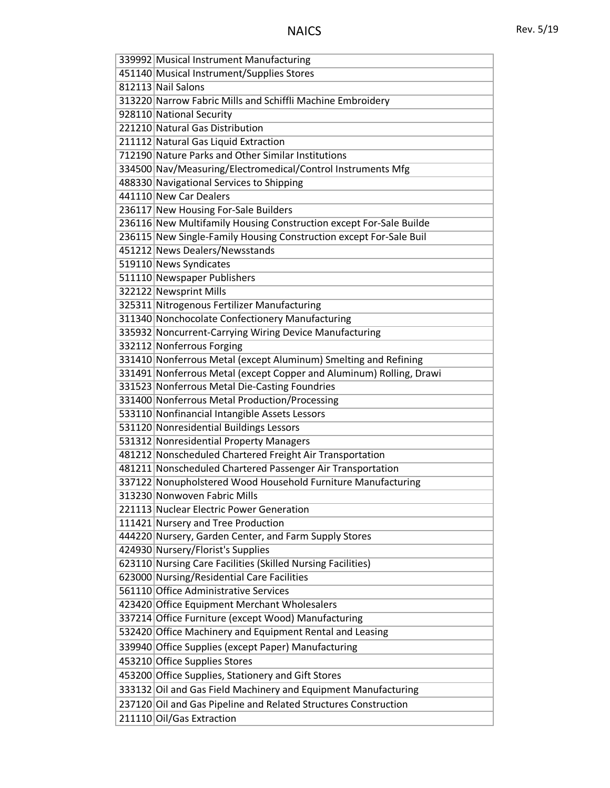| 339992 Musical Instrument Manufacturing                             |
|---------------------------------------------------------------------|
| 451140 Musical Instrument/Supplies Stores                           |
| 812113 Nail Salons                                                  |
| 313220 Narrow Fabric Mills and Schiffli Machine Embroidery          |
| 928110 National Security                                            |
| 221210 Natural Gas Distribution                                     |
| 211112 Natural Gas Liquid Extraction                                |
| 712190 Nature Parks and Other Similar Institutions                  |
| 334500 Nav/Measuring/Electromedical/Control Instruments Mfg         |
| 488330 Navigational Services to Shipping                            |
| 441110 New Car Dealers                                              |
| 236117 New Housing For-Sale Builders                                |
| 236116 New Multifamily Housing Construction except For-Sale Builde  |
| 236115 New Single-Family Housing Construction except For-Sale Buil  |
| 451212 News Dealers/Newsstands                                      |
| 519110 News Syndicates                                              |
| 511110 Newspaper Publishers                                         |
| 322122 Newsprint Mills                                              |
| 325311 Nitrogenous Fertilizer Manufacturing                         |
| 311340 Nonchocolate Confectionery Manufacturing                     |
| 335932 Noncurrent-Carrying Wiring Device Manufacturing              |
| 332112 Nonferrous Forging                                           |
| 331410 Nonferrous Metal (except Aluminum) Smelting and Refining     |
| 331491 Nonferrous Metal (except Copper and Aluminum) Rolling, Drawi |
| 331523 Nonferrous Metal Die-Casting Foundries                       |
| 331400 Nonferrous Metal Production/Processing                       |
| 533110 Nonfinancial Intangible Assets Lessors                       |
| 531120 Nonresidential Buildings Lessors                             |
| 531312 Nonresidential Property Managers                             |
| 481212 Nonscheduled Chartered Freight Air Transportation            |
| 481211 Nonscheduled Chartered Passenger Air Transportation          |
| 337122 Nonupholstered Wood Household Furniture Manufacturing        |
| 313230 Nonwoven Fabric Mills                                        |
| 221113 Nuclear Electric Power Generation                            |
| 111421 Nursery and Tree Production                                  |
| 444220 Nursery, Garden Center, and Farm Supply Stores               |
| 424930 Nursery/Florist's Supplies                                   |
| 623110 Nursing Care Facilities (Skilled Nursing Facilities)         |
| 623000 Nursing/Residential Care Facilities                          |
| 561110 Office Administrative Services                               |
| 423420 Office Equipment Merchant Wholesalers                        |
| 337214 Office Furniture (except Wood) Manufacturing                 |
| 532420 Office Machinery and Equipment Rental and Leasing            |
| 339940 Office Supplies (except Paper) Manufacturing                 |
| 453210 Office Supplies Stores                                       |
| 453200 Office Supplies, Stationery and Gift Stores                  |
| 333132 Oil and Gas Field Machinery and Equipment Manufacturing      |
| 237120 Oil and Gas Pipeline and Related Structures Construction     |
| 211110 Oil/Gas Extraction                                           |
|                                                                     |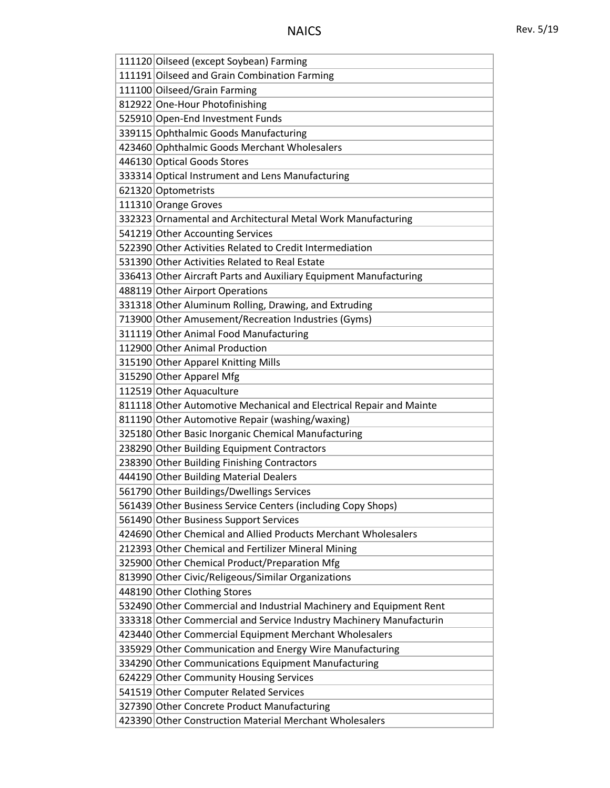| 111120 Oilseed (except Soybean) Farming                             |
|---------------------------------------------------------------------|
| 111191 Oilseed and Grain Combination Farming                        |
| 111100 Oilseed/Grain Farming                                        |
| 812922 One-Hour Photofinishing                                      |
| 525910 Open-End Investment Funds                                    |
| 339115 Ophthalmic Goods Manufacturing                               |
| 423460 Ophthalmic Goods Merchant Wholesalers                        |
| 446130 Optical Goods Stores                                         |
| 333314 Optical Instrument and Lens Manufacturing                    |
| 621320 Optometrists                                                 |
| 111310 Orange Groves                                                |
| 332323 Ornamental and Architectural Metal Work Manufacturing        |
| 541219 Other Accounting Services                                    |
| 522390 Other Activities Related to Credit Intermediation            |
| 531390 Other Activities Related to Real Estate                      |
| 336413 Other Aircraft Parts and Auxiliary Equipment Manufacturing   |
| 488119 Other Airport Operations                                     |
| 331318 Other Aluminum Rolling, Drawing, and Extruding               |
| 713900 Other Amusement/Recreation Industries (Gyms)                 |
| 311119 Other Animal Food Manufacturing                              |
| 112900 Other Animal Production                                      |
| 315190 Other Apparel Knitting Mills                                 |
| 315290 Other Apparel Mfg                                            |
| 112519 Other Aquaculture                                            |
| 811118 Other Automotive Mechanical and Electrical Repair and Mainte |
| 811190 Other Automotive Repair (washing/waxing)                     |
| 325180 Other Basic Inorganic Chemical Manufacturing                 |
| 238290 Other Building Equipment Contractors                         |
| 238390 Other Building Finishing Contractors                         |
| 444190 Other Building Material Dealers                              |
| 561790 Other Buildings/Dwellings Services                           |
| 561439 Other Business Service Centers (including Copy Shops)        |
| 561490 Other Business Support Services                              |
| 424690 Other Chemical and Allied Products Merchant Wholesalers      |
| 212393 Other Chemical and Fertilizer Mineral Mining                 |
| 325900 Other Chemical Product/Preparation Mfg                       |
| 813990 Other Civic/Religeous/Similar Organizations                  |
| 448190 Other Clothing Stores                                        |
| 532490 Other Commercial and Industrial Machinery and Equipment Rent |
| 333318 Other Commercial and Service Industry Machinery Manufacturin |
| 423440 Other Commercial Equipment Merchant Wholesalers              |
| 335929 Other Communication and Energy Wire Manufacturing            |
| 334290 Other Communications Equipment Manufacturing                 |
| 624229 Other Community Housing Services                             |
| 541519 Other Computer Related Services                              |
| 327390 Other Concrete Product Manufacturing                         |
| 423390 Other Construction Material Merchant Wholesalers             |
|                                                                     |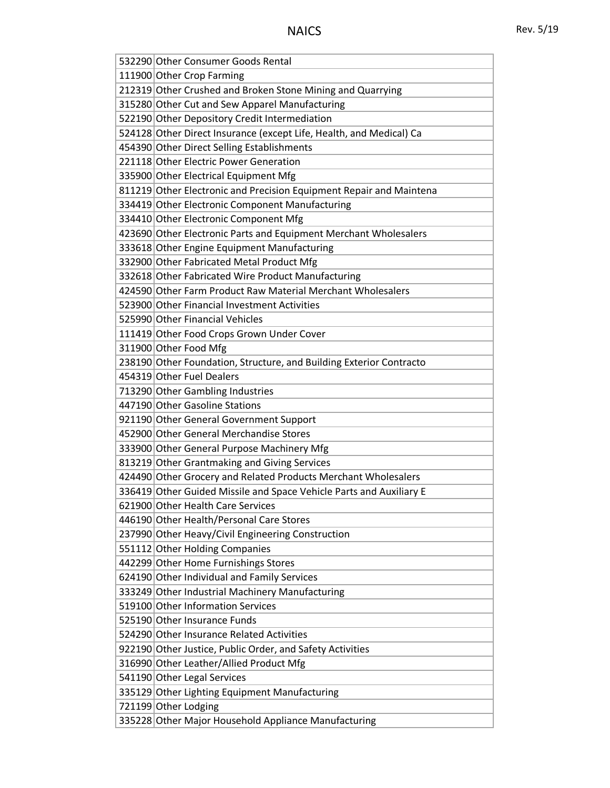| 532290 Other Consumer Goods Rental                                  |
|---------------------------------------------------------------------|
| 111900 Other Crop Farming                                           |
| 212319 Other Crushed and Broken Stone Mining and Quarrying          |
| 315280 Other Cut and Sew Apparel Manufacturing                      |
| 522190 Other Depository Credit Intermediation                       |
| 524128 Other Direct Insurance (except Life, Health, and Medical) Ca |
| 454390 Other Direct Selling Establishments                          |
| 221118 Other Electric Power Generation                              |
| 335900 Other Electrical Equipment Mfg                               |
| 811219 Other Electronic and Precision Equipment Repair and Maintena |
| 334419 Other Electronic Component Manufacturing                     |
| 334410 Other Electronic Component Mfg                               |
| 423690 Other Electronic Parts and Equipment Merchant Wholesalers    |
| 333618 Other Engine Equipment Manufacturing                         |
| 332900 Other Fabricated Metal Product Mfg                           |
| 332618 Other Fabricated Wire Product Manufacturing                  |
| 424590 Other Farm Product Raw Material Merchant Wholesalers         |
| 523900 Other Financial Investment Activities                        |
| 525990 Other Financial Vehicles                                     |
| 111419 Other Food Crops Grown Under Cover                           |
| 311900 Other Food Mfg                                               |
| 238190 Other Foundation, Structure, and Building Exterior Contracto |
| 454319 Other Fuel Dealers                                           |
| 713290 Other Gambling Industries                                    |
| 447190 Other Gasoline Stations                                      |
| 921190 Other General Government Support                             |
| 452900 Other General Merchandise Stores                             |
| 333900 Other General Purpose Machinery Mfg                          |
| 813219 Other Grantmaking and Giving Services                        |
| 424490 Other Grocery and Related Products Merchant Wholesalers      |
| 336419 Other Guided Missile and Space Vehicle Parts and Auxiliary E |
| 621900 Other Health Care Services                                   |
| 446190 Other Health/Personal Care Stores                            |
| 237990 Other Heavy/Civil Engineering Construction                   |
| 551112 Other Holding Companies                                      |
| 442299 Other Home Furnishings Stores                                |
| 624190 Other Individual and Family Services                         |
| 333249 Other Industrial Machinery Manufacturing                     |
| 519100 Other Information Services                                   |
| 525190 Other Insurance Funds                                        |
| 524290 Other Insurance Related Activities                           |
| 922190 Other Justice, Public Order, and Safety Activities           |
| 316990 Other Leather/Allied Product Mfg                             |
| 541190 Other Legal Services                                         |
| 335129 Other Lighting Equipment Manufacturing                       |
| 721199 Other Lodging                                                |
| 335228 Other Major Household Appliance Manufacturing                |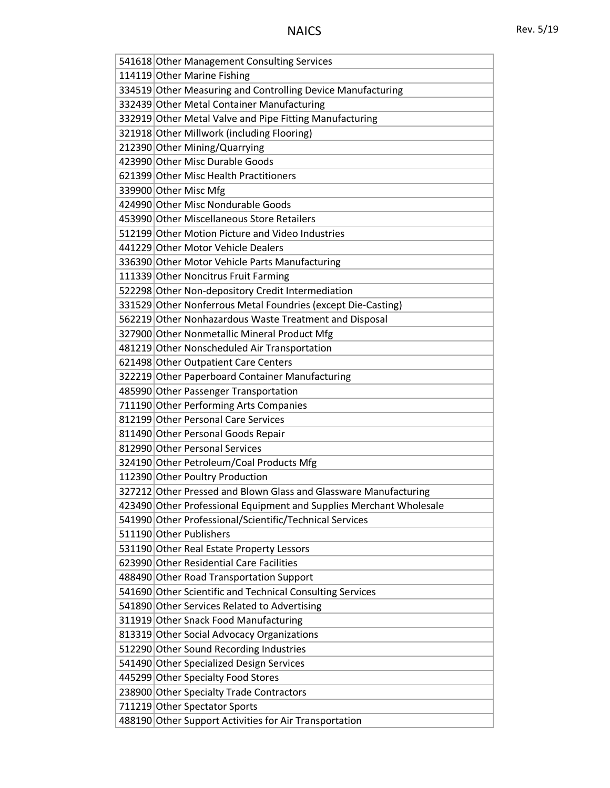| 541618 Other Management Consulting Services                         |
|---------------------------------------------------------------------|
| 114119 Other Marine Fishing                                         |
| 334519 Other Measuring and Controlling Device Manufacturing         |
| 332439 Other Metal Container Manufacturing                          |
| 332919 Other Metal Valve and Pipe Fitting Manufacturing             |
| 321918 Other Millwork (including Flooring)                          |
| 212390 Other Mining/Quarrying                                       |
| 423990 Other Misc Durable Goods                                     |
| 621399 Other Misc Health Practitioners                              |
| 339900 Other Misc Mfg                                               |
| 424990 Other Misc Nondurable Goods                                  |
| 453990 Other Miscellaneous Store Retailers                          |
| 512199 Other Motion Picture and Video Industries                    |
| 441229 Other Motor Vehicle Dealers                                  |
| 336390 Other Motor Vehicle Parts Manufacturing                      |
| 111339 Other Noncitrus Fruit Farming                                |
| 522298 Other Non-depository Credit Intermediation                   |
| 331529 Other Nonferrous Metal Foundries (except Die-Casting)        |
| 562219 Other Nonhazardous Waste Treatment and Disposal              |
| 327900 Other Nonmetallic Mineral Product Mfg                        |
| 481219 Other Nonscheduled Air Transportation                        |
| 621498 Other Outpatient Care Centers                                |
| 322219 Other Paperboard Container Manufacturing                     |
| 485990 Other Passenger Transportation                               |
| 711190 Other Performing Arts Companies                              |
| 812199 Other Personal Care Services                                 |
| 811490 Other Personal Goods Repair                                  |
| 812990 Other Personal Services                                      |
| 324190 Other Petroleum/Coal Products Mfg                            |
| 112390 Other Poultry Production                                     |
| 327212 Other Pressed and Blown Glass and Glassware Manufacturing    |
| 423490 Other Professional Equipment and Supplies Merchant Wholesale |
| 541990 Other Professional/Scientific/Technical Services             |
| 511190 Other Publishers                                             |
| 531190 Other Real Estate Property Lessors                           |
| 623990 Other Residential Care Facilities                            |
| 488490 Other Road Transportation Support                            |
| 541690 Other Scientific and Technical Consulting Services           |
| 541890 Other Services Related to Advertising                        |
| 311919 Other Snack Food Manufacturing                               |
| 813319 Other Social Advocacy Organizations                          |
| 512290 Other Sound Recording Industries                             |
| 541490 Other Specialized Design Services                            |
| 445299 Other Specialty Food Stores                                  |
| 238900 Other Specialty Trade Contractors                            |
| 711219 Other Spectator Sports                                       |
| 488190 Other Support Activities for Air Transportation              |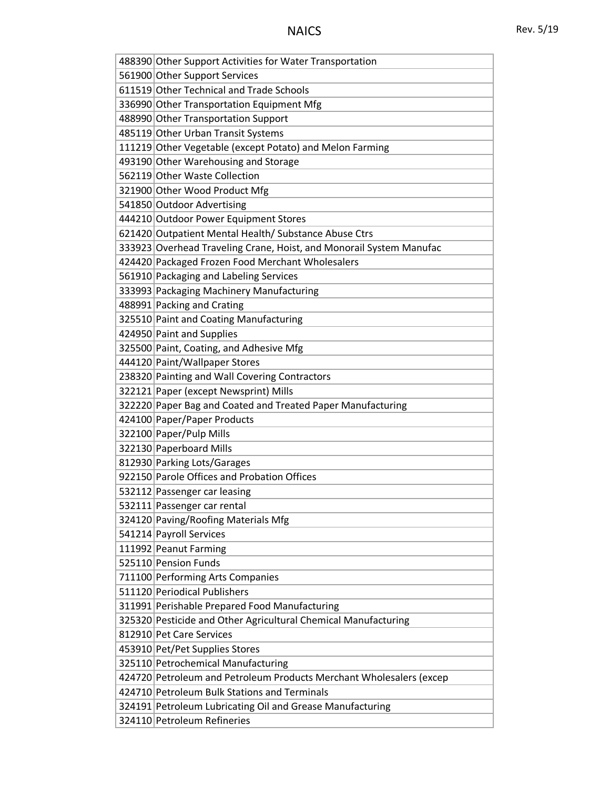| 488390 Other Support Activities for Water Transportation<br>561900 Other Support Services |
|-------------------------------------------------------------------------------------------|
| 611519 Other Technical and Trade Schools                                                  |
| 336990 Other Transportation Equipment Mfg                                                 |
| 488990 Other Transportation Support                                                       |
|                                                                                           |
| 485119 Other Urban Transit Systems                                                        |
| 111219 Other Vegetable (except Potato) and Melon Farming                                  |
| 493190 Other Warehousing and Storage<br>562119 Other Waste Collection                     |
|                                                                                           |
| 321900 Other Wood Product Mfg                                                             |
| 541850 Outdoor Advertising                                                                |
| 444210 Outdoor Power Equipment Stores                                                     |
| 621420 Outpatient Mental Health/ Substance Abuse Ctrs                                     |
| 333923 Overhead Traveling Crane, Hoist, and Monorail System Manufac                       |
| 424420 Packaged Frozen Food Merchant Wholesalers                                          |
| 561910 Packaging and Labeling Services                                                    |
| 333993 Packaging Machinery Manufacturing                                                  |
| 488991 Packing and Crating                                                                |
| 325510 Paint and Coating Manufacturing                                                    |
| 424950 Paint and Supplies                                                                 |
| 325500 Paint, Coating, and Adhesive Mfg                                                   |
| 444120 Paint/Wallpaper Stores                                                             |
| 238320 Painting and Wall Covering Contractors                                             |
| 322121 Paper (except Newsprint) Mills                                                     |
| 322220 Paper Bag and Coated and Treated Paper Manufacturing                               |
| 424100 Paper/Paper Products                                                               |
| 322100 Paper/Pulp Mills                                                                   |
| 322130 Paperboard Mills                                                                   |
| 812930 Parking Lots/Garages                                                               |
| 922150 Parole Offices and Probation Offices                                               |
| 532112 Passenger car leasing                                                              |
| 532111 Passenger car rental                                                               |
| 324120 Paving/Roofing Materials Mfg                                                       |
| 541214 Payroll Services                                                                   |
| 111992 Peanut Farming                                                                     |
| 525110 Pension Funds                                                                      |
| 711100 Performing Arts Companies                                                          |
| 511120 Periodical Publishers                                                              |
| 311991 Perishable Prepared Food Manufacturing                                             |
| 325320 Pesticide and Other Agricultural Chemical Manufacturing                            |
| 812910 Pet Care Services                                                                  |
| 453910 Pet/Pet Supplies Stores                                                            |
| 325110 Petrochemical Manufacturing                                                        |
| 424720 Petroleum and Petroleum Products Merchant Wholesalers (excep                       |
| 424710 Petroleum Bulk Stations and Terminals                                              |
| 324191 Petroleum Lubricating Oil and Grease Manufacturing                                 |
| 324110 Petroleum Refineries                                                               |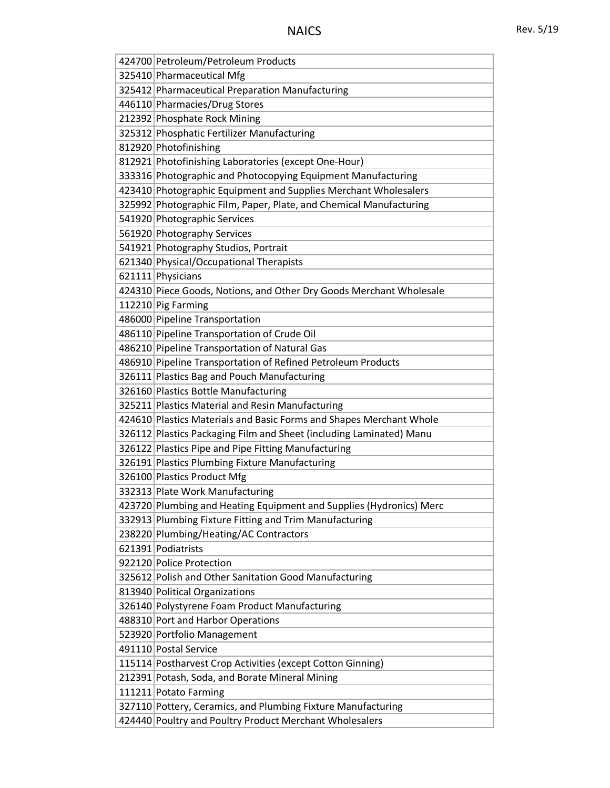| 424700 Petroleum/Petroleum Products                                 |
|---------------------------------------------------------------------|
| 325410 Pharmaceutical Mfg                                           |
| 325412 Pharmaceutical Preparation Manufacturing                     |
| 446110 Pharmacies/Drug Stores                                       |
| 212392 Phosphate Rock Mining                                        |
| 325312 Phosphatic Fertilizer Manufacturing                          |
| 812920 Photofinishing                                               |
| 812921 Photofinishing Laboratories (except One-Hour)                |
| 333316 Photographic and Photocopying Equipment Manufacturing        |
| 423410 Photographic Equipment and Supplies Merchant Wholesalers     |
| 325992 Photographic Film, Paper, Plate, and Chemical Manufacturing  |
| 541920 Photographic Services                                        |
| 561920 Photography Services                                         |
| 541921 Photography Studios, Portrait                                |
| 621340 Physical/Occupational Therapists                             |
| 621111 Physicians                                                   |
| 424310 Piece Goods, Notions, and Other Dry Goods Merchant Wholesale |
| 112210 Pig Farming                                                  |
| 486000 Pipeline Transportation                                      |
| 486110 Pipeline Transportation of Crude Oil                         |
| 486210 Pipeline Transportation of Natural Gas                       |
| 486910 Pipeline Transportation of Refined Petroleum Products        |
| 326111 Plastics Bag and Pouch Manufacturing                         |
| 326160 Plastics Bottle Manufacturing                                |
| 325211 Plastics Material and Resin Manufacturing                    |
| 424610 Plastics Materials and Basic Forms and Shapes Merchant Whole |
| 326112 Plastics Packaging Film and Sheet (including Laminated) Manu |
| 326122 Plastics Pipe and Pipe Fitting Manufacturing                 |
| 326191 Plastics Plumbing Fixture Manufacturing                      |
| 326100 Plastics Product Mfg                                         |
| 332313 Plate Work Manufacturing                                     |
| 423720 Plumbing and Heating Equipment and Supplies (Hydronics) Merc |
| 332913 Plumbing Fixture Fitting and Trim Manufacturing              |
| 238220 Plumbing/Heating/AC Contractors                              |
| 621391 Podiatrists                                                  |
| 922120 Police Protection                                            |
| 325612 Polish and Other Sanitation Good Manufacturing               |
| 813940 Political Organizations                                      |
| 326140 Polystyrene Foam Product Manufacturing                       |
| 488310 Port and Harbor Operations                                   |
| 523920 Portfolio Management                                         |
| 491110 Postal Service                                               |
| 115114 Postharvest Crop Activities (except Cotton Ginning)          |
| 212391 Potash, Soda, and Borate Mineral Mining                      |
| 111211 Potato Farming                                               |
| 327110 Pottery, Ceramics, and Plumbing Fixture Manufacturing        |
| 424440 Poultry and Poultry Product Merchant Wholesalers             |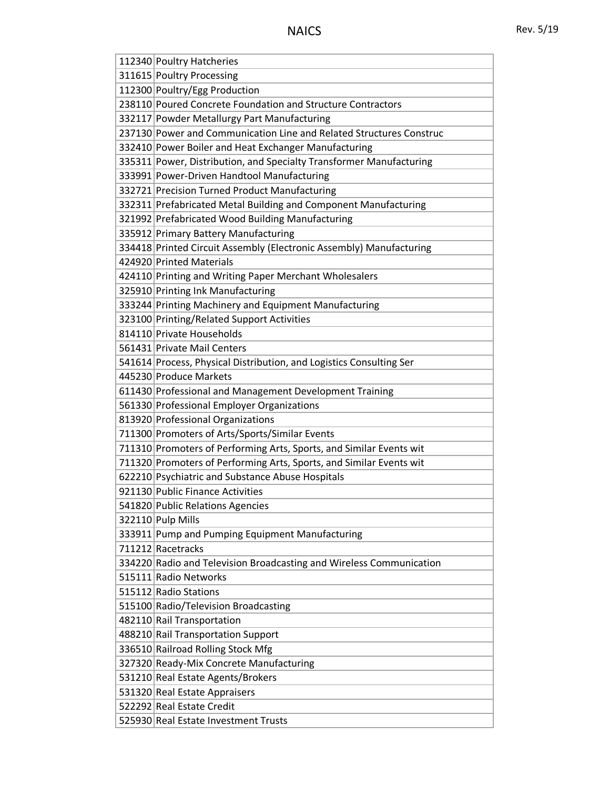| 112340 Poultry Hatcheries                                           |
|---------------------------------------------------------------------|
| 311615 Poultry Processing                                           |
| 112300 Poultry/Egg Production                                       |
| 238110 Poured Concrete Foundation and Structure Contractors         |
| 332117 Powder Metallurgy Part Manufacturing                         |
| 237130 Power and Communication Line and Related Structures Construc |
| 332410 Power Boiler and Heat Exchanger Manufacturing                |
| 335311 Power, Distribution, and Specialty Transformer Manufacturing |
| 333991 Power-Driven Handtool Manufacturing                          |
| 332721 Precision Turned Product Manufacturing                       |
| 332311 Prefabricated Metal Building and Component Manufacturing     |
| 321992 Prefabricated Wood Building Manufacturing                    |
| 335912 Primary Battery Manufacturing                                |
| 334418 Printed Circuit Assembly (Electronic Assembly) Manufacturing |
| 424920 Printed Materials                                            |
| 424110 Printing and Writing Paper Merchant Wholesalers              |
| 325910 Printing Ink Manufacturing                                   |
| 333244 Printing Machinery and Equipment Manufacturing               |
| 323100 Printing/Related Support Activities                          |
| 814110 Private Households                                           |
| 561431 Private Mail Centers                                         |
| 541614 Process, Physical Distribution, and Logistics Consulting Ser |
| 445230 Produce Markets                                              |
| 611430 Professional and Management Development Training             |
| 561330 Professional Employer Organizations                          |
| 813920 Professional Organizations                                   |
| 711300 Promoters of Arts/Sports/Similar Events                      |
| 711310 Promoters of Performing Arts, Sports, and Similar Events wit |
| 711320 Promoters of Performing Arts, Sports, and Similar Events wit |
| 622210 Psychiatric and Substance Abuse Hospitals                    |
| 921130 Public Finance Activities                                    |
| 541820 Public Relations Agencies                                    |
| 322110 Pulp Mills                                                   |
| 333911 Pump and Pumping Equipment Manufacturing                     |
| 711212 Racetracks                                                   |
| 334220 Radio and Television Broadcasting and Wireless Communication |
| 515111 Radio Networks                                               |
| 515112 Radio Stations                                               |
| 515100 Radio/Television Broadcasting                                |
| 482110 Rail Transportation                                          |
| 488210 Rail Transportation Support                                  |
| 336510 Railroad Rolling Stock Mfg                                   |
| 327320 Ready-Mix Concrete Manufacturing                             |
| 531210 Real Estate Agents/Brokers                                   |
| 531320 Real Estate Appraisers                                       |
| 522292 Real Estate Credit                                           |
| 525930 Real Estate Investment Trusts                                |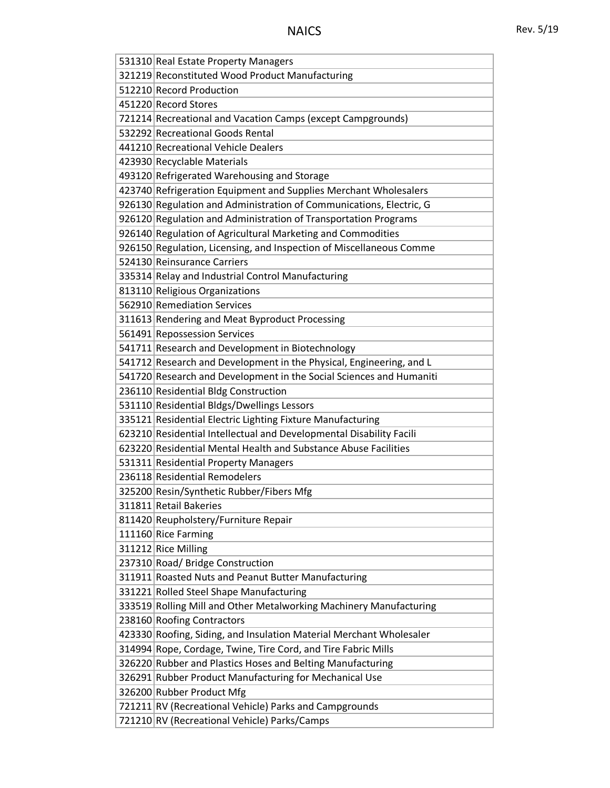| 531310 Real Estate Property Managers                                |
|---------------------------------------------------------------------|
| 321219 Reconstituted Wood Product Manufacturing                     |
| 512210 Record Production                                            |
| 451220 Record Stores                                                |
| 721214 Recreational and Vacation Camps (except Campgrounds)         |
| 532292 Recreational Goods Rental                                    |
| 441210 Recreational Vehicle Dealers                                 |
| 423930 Recyclable Materials                                         |
| 493120 Refrigerated Warehousing and Storage                         |
| 423740 Refrigeration Equipment and Supplies Merchant Wholesalers    |
| 926130 Regulation and Administration of Communications, Electric, G |
| 926120 Regulation and Administration of Transportation Programs     |
| 926140 Regulation of Agricultural Marketing and Commodities         |
| 926150 Regulation, Licensing, and Inspection of Miscellaneous Comme |
| 524130 Reinsurance Carriers                                         |
| 335314 Relay and Industrial Control Manufacturing                   |
| 813110 Religious Organizations                                      |
| 562910 Remediation Services                                         |
| 311613 Rendering and Meat Byproduct Processing                      |
| 561491 Repossession Services                                        |
| 541711 Research and Development in Biotechnology                    |
| 541712 Research and Development in the Physical, Engineering, and L |
| 541720 Research and Development in the Social Sciences and Humaniti |
| 236110 Residential Bldg Construction                                |
| 531110 Residential Bldgs/Dwellings Lessors                          |
| 335121 Residential Electric Lighting Fixture Manufacturing          |
| 623210 Residential Intellectual and Developmental Disability Facili |
| 623220 Residential Mental Health and Substance Abuse Facilities     |
| 531311 Residential Property Managers                                |
| 236118 Residential Remodelers                                       |
| 325200 Resin/Synthetic Rubber/Fibers Mfg                            |
| 311811 Retail Bakeries                                              |
| 811420 Reupholstery/Furniture Repair                                |
| 111160 Rice Farming                                                 |
| 311212 Rice Milling                                                 |
| 237310 Road/ Bridge Construction                                    |
| 311911 Roasted Nuts and Peanut Butter Manufacturing                 |
| 331221 Rolled Steel Shape Manufacturing                             |
| 333519 Rolling Mill and Other Metalworking Machinery Manufacturing  |
| 238160 Roofing Contractors                                          |
| 423330 Roofing, Siding, and Insulation Material Merchant Wholesaler |
| 314994 Rope, Cordage, Twine, Tire Cord, and Tire Fabric Mills       |
| 326220 Rubber and Plastics Hoses and Belting Manufacturing          |
| 326291 Rubber Product Manufacturing for Mechanical Use              |
| 326200 Rubber Product Mfg                                           |
| 721211 RV (Recreational Vehicle) Parks and Campgrounds              |
| 721210 RV (Recreational Vehicle) Parks/Camps                        |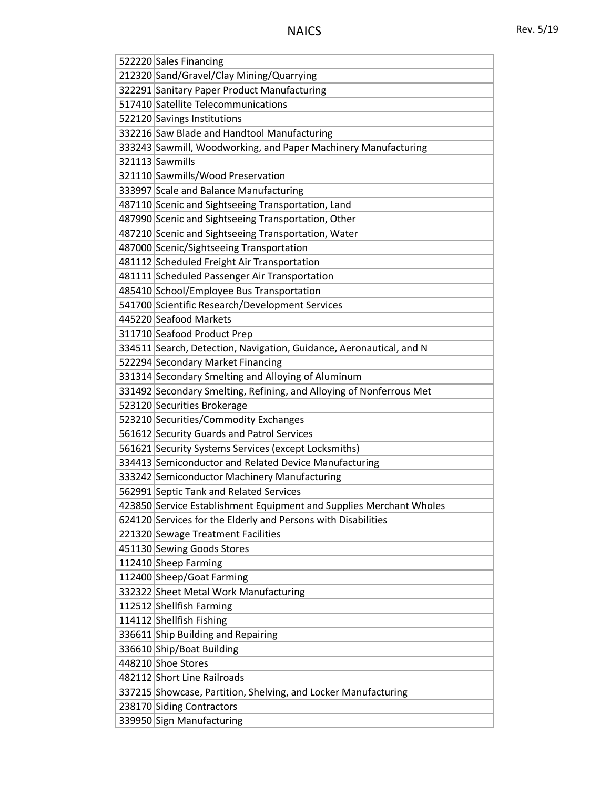| 522220 Sales Financing                                                                                                               |
|--------------------------------------------------------------------------------------------------------------------------------------|
| 212320 Sand/Gravel/Clay Mining/Quarrying                                                                                             |
| 322291 Sanitary Paper Product Manufacturing                                                                                          |
| 517410 Satellite Telecommunications                                                                                                  |
| 522120 Savings Institutions                                                                                                          |
| 332216 Saw Blade and Handtool Manufacturing                                                                                          |
| 333243 Sawmill, Woodworking, and Paper Machinery Manufacturing                                                                       |
| 321113 Sawmills                                                                                                                      |
| 321110 Sawmills/Wood Preservation                                                                                                    |
| 333997 Scale and Balance Manufacturing                                                                                               |
| 487110 Scenic and Sightseeing Transportation, Land                                                                                   |
| 487990 Scenic and Sightseeing Transportation, Other                                                                                  |
| 487210 Scenic and Sightseeing Transportation, Water                                                                                  |
| 487000 Scenic/Sightseeing Transportation                                                                                             |
| 481112 Scheduled Freight Air Transportation                                                                                          |
| 481111 Scheduled Passenger Air Transportation                                                                                        |
| 485410 School/Employee Bus Transportation                                                                                            |
| 541700 Scientific Research/Development Services                                                                                      |
| 445220 Seafood Markets                                                                                                               |
| 311710 Seafood Product Prep                                                                                                          |
| 334511 Search, Detection, Navigation, Guidance, Aeronautical, and N                                                                  |
| 522294 Secondary Market Financing                                                                                                    |
| 331314 Secondary Smelting and Alloying of Aluminum                                                                                   |
| 331492 Secondary Smelting, Refining, and Alloying of Nonferrous Met                                                                  |
| 523120 Securities Brokerage                                                                                                          |
| 523210 Securities/Commodity Exchanges                                                                                                |
| 561612 Security Guards and Patrol Services                                                                                           |
| 561621 Security Systems Services (except Locksmiths)                                                                                 |
| 334413 Semiconductor and Related Device Manufacturing                                                                                |
| 333242 Semiconductor Machinery Manufacturing<br>562991 Septic Tank and Related Services                                              |
|                                                                                                                                      |
| 423850 Service Establishment Equipment and Supplies Merchant Wholes<br>624120 Services for the Elderly and Persons with Disabilities |
| 221320 Sewage Treatment Facilities                                                                                                   |
| 451130 Sewing Goods Stores                                                                                                           |
| 112410 Sheep Farming                                                                                                                 |
| 112400 Sheep/Goat Farming                                                                                                            |
| 332322 Sheet Metal Work Manufacturing                                                                                                |
| 112512 Shellfish Farming                                                                                                             |
| 114112 Shellfish Fishing                                                                                                             |
| 336611 Ship Building and Repairing                                                                                                   |
| 336610 Ship/Boat Building                                                                                                            |
| 448210 Shoe Stores                                                                                                                   |
| 482112 Short Line Railroads                                                                                                          |
| 337215 Showcase, Partition, Shelving, and Locker Manufacturing                                                                       |
| 238170 Siding Contractors                                                                                                            |
| 339950 Sign Manufacturing                                                                                                            |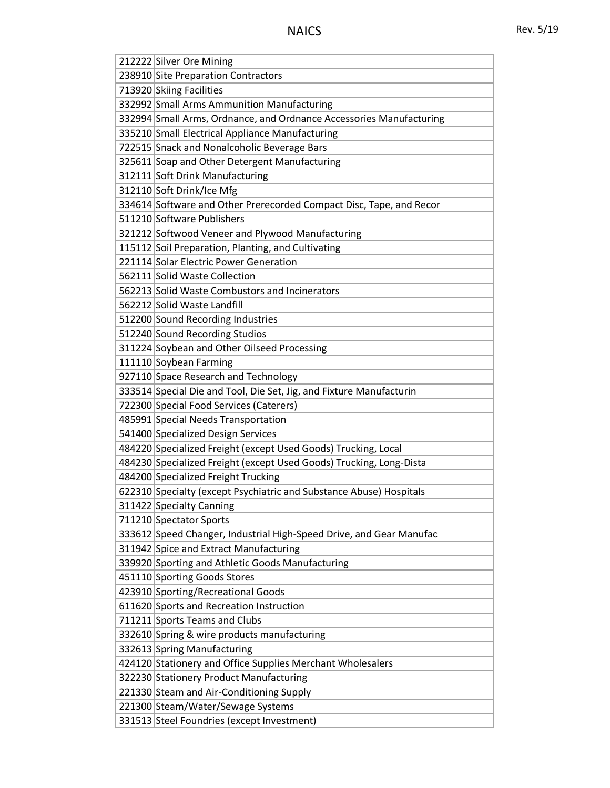| 212222 Silver Ore Mining                                            |
|---------------------------------------------------------------------|
| 238910 Site Preparation Contractors                                 |
| 713920 Skiing Facilities                                            |
| 332992 Small Arms Ammunition Manufacturing                          |
| 332994 Small Arms, Ordnance, and Ordnance Accessories Manufacturing |
| 335210 Small Electrical Appliance Manufacturing                     |
| 722515 Snack and Nonalcoholic Beverage Bars                         |
| 325611 Soap and Other Detergent Manufacturing                       |
| 312111 Soft Drink Manufacturing                                     |
| 312110 Soft Drink/Ice Mfg                                           |
| 334614 Software and Other Prerecorded Compact Disc, Tape, and Recor |
| 511210 Software Publishers                                          |
| 321212 Softwood Veneer and Plywood Manufacturing                    |
| 115112 Soil Preparation, Planting, and Cultivating                  |
| 221114 Solar Electric Power Generation                              |
| 562111 Solid Waste Collection                                       |
| 562213 Solid Waste Combustors and Incinerators                      |
| 562212 Solid Waste Landfill                                         |
| 512200 Sound Recording Industries                                   |
| 512240 Sound Recording Studios                                      |
| 311224 Soybean and Other Oilseed Processing                         |
| 111110 Soybean Farming                                              |
| 927110 Space Research and Technology                                |
| 333514 Special Die and Tool, Die Set, Jig, and Fixture Manufacturin |
| 722300 Special Food Services (Caterers)                             |
| 485991 Special Needs Transportation                                 |
| 541400 Specialized Design Services                                  |
| 484220 Specialized Freight (except Used Goods) Trucking, Local      |
| 484230 Specialized Freight (except Used Goods) Trucking, Long-Dista |
| 484200 Specialized Freight Trucking                                 |
| 622310 Specialty (except Psychiatric and Substance Abuse) Hospitals |
| 311422 Specialty Canning                                            |
| 711210 Spectator Sports                                             |
| 333612 Speed Changer, Industrial High-Speed Drive, and Gear Manufac |
| 311942 Spice and Extract Manufacturing                              |
| 339920 Sporting and Athletic Goods Manufacturing                    |
| 451110 Sporting Goods Stores                                        |
| 423910 Sporting/Recreational Goods                                  |
| 611620 Sports and Recreation Instruction                            |
| 711211 Sports Teams and Clubs                                       |
| 332610 Spring & wire products manufacturing                         |
| 332613 Spring Manufacturing                                         |
| 424120 Stationery and Office Supplies Merchant Wholesalers          |
| 322230 Stationery Product Manufacturing                             |
| 221330 Steam and Air-Conditioning Supply                            |
| 221300 Steam/Water/Sewage Systems                                   |
| 331513 Steel Foundries (except Investment)                          |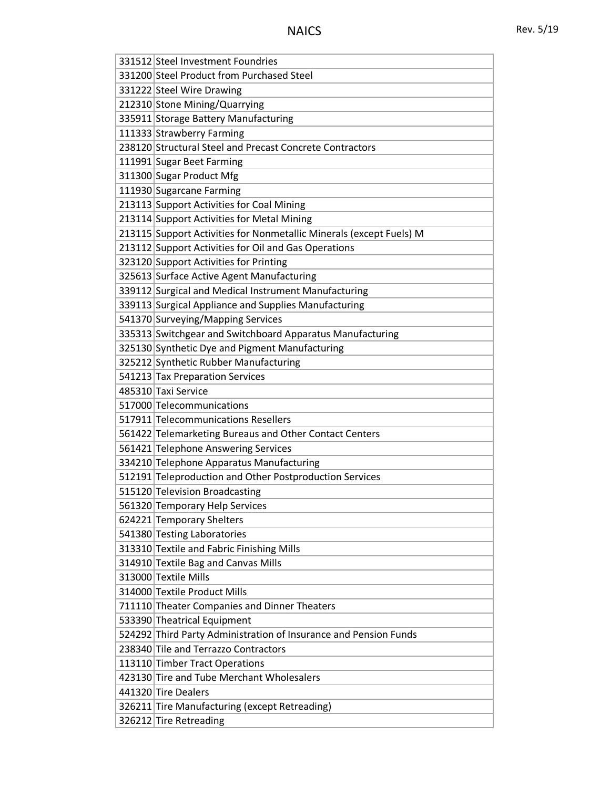| 331512 Steel Investment Foundries                                   |
|---------------------------------------------------------------------|
| 331200 Steel Product from Purchased Steel                           |
| 331222 Steel Wire Drawing                                           |
| 212310 Stone Mining/Quarrying                                       |
| 335911 Storage Battery Manufacturing                                |
| 111333 Strawberry Farming                                           |
| 238120 Structural Steel and Precast Concrete Contractors            |
| 111991 Sugar Beet Farming                                           |
| 311300 Sugar Product Mfg                                            |
| 111930 Sugarcane Farming                                            |
| 213113 Support Activities for Coal Mining                           |
| 213114 Support Activities for Metal Mining                          |
| 213115 Support Activities for Nonmetallic Minerals (except Fuels) M |
| 213112 Support Activities for Oil and Gas Operations                |
| 323120 Support Activities for Printing                              |
| 325613 Surface Active Agent Manufacturing                           |
| 339112 Surgical and Medical Instrument Manufacturing                |
| 339113 Surgical Appliance and Supplies Manufacturing                |
| 541370 Surveying/Mapping Services                                   |
| 335313 Switchgear and Switchboard Apparatus Manufacturing           |
| 325130 Synthetic Dye and Pigment Manufacturing                      |
| 325212 Synthetic Rubber Manufacturing                               |
| 541213 Tax Preparation Services                                     |
| 485310 Taxi Service                                                 |
| 517000 Telecommunications                                           |
| 517911 Telecommunications Resellers                                 |
| 561422 Telemarketing Bureaus and Other Contact Centers              |
| 561421 Telephone Answering Services                                 |
| 334210 Telephone Apparatus Manufacturing                            |
| 512191 Teleproduction and Other Postproduction Services             |
| 515120 Television Broadcasting                                      |
| 561320 Temporary Help Services                                      |
| 624221 Temporary Shelters                                           |
| 541380 Testing Laboratories                                         |
| 313310 Textile and Fabric Finishing Mills                           |
| 314910 Textile Bag and Canvas Mills                                 |
| 313000 Textile Mills                                                |
| 314000 Textile Product Mills                                        |
| 711110 Theater Companies and Dinner Theaters                        |
| 533390 Theatrical Equipment                                         |
| 524292 Third Party Administration of Insurance and Pension Funds    |
| 238340 Tile and Terrazzo Contractors                                |
| 113110 Timber Tract Operations                                      |
| 423130 Tire and Tube Merchant Wholesalers                           |
| 441320 Tire Dealers                                                 |
| 326211 Tire Manufacturing (except Retreading)                       |
| 326212 Tire Retreading                                              |
|                                                                     |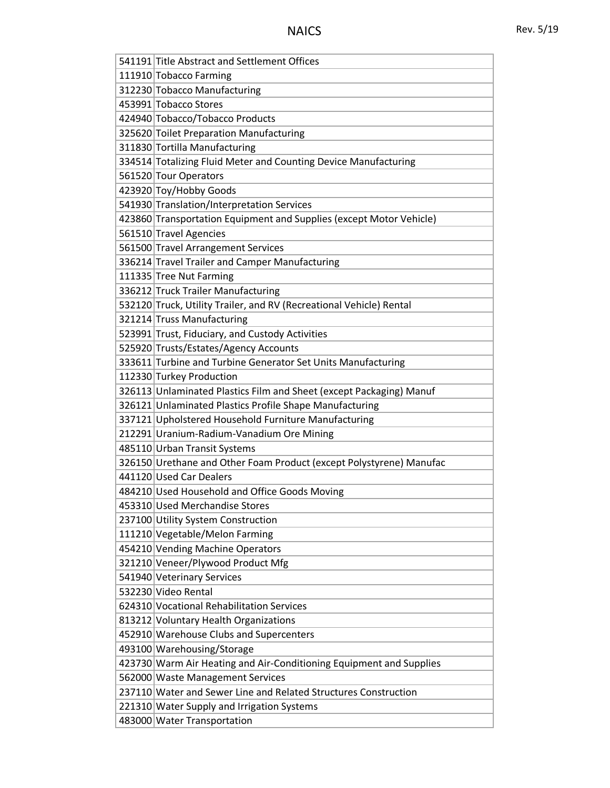| 541191 Title Abstract and Settlement Offices                        |
|---------------------------------------------------------------------|
| 111910 Tobacco Farming                                              |
| 312230 Tobacco Manufacturing                                        |
| 453991 Tobacco Stores                                               |
| 424940 Tobacco/Tobacco Products                                     |
| 325620 Toilet Preparation Manufacturing                             |
| 311830 Tortilla Manufacturing                                       |
| 334514 Totalizing Fluid Meter and Counting Device Manufacturing     |
| 561520 Tour Operators                                               |
| 423920 Toy/Hobby Goods                                              |
| 541930 Translation/Interpretation Services                          |
| 423860 Transportation Equipment and Supplies (except Motor Vehicle) |
| 561510 Travel Agencies                                              |
| 561500 Travel Arrangement Services                                  |
| 336214 Travel Trailer and Camper Manufacturing                      |
| 111335 Tree Nut Farming                                             |
| 336212 Truck Trailer Manufacturing                                  |
| 532120 Truck, Utility Trailer, and RV (Recreational Vehicle) Rental |
| 321214 Truss Manufacturing                                          |
| 523991 Trust, Fiduciary, and Custody Activities                     |
| 525920 Trusts/Estates/Agency Accounts                               |
| 333611 Turbine and Turbine Generator Set Units Manufacturing        |
| 112330 Turkey Production                                            |
| 326113 Unlaminated Plastics Film and Sheet (except Packaging) Manuf |
| 326121 Unlaminated Plastics Profile Shape Manufacturing             |
| 337121 Upholstered Household Furniture Manufacturing                |
| 212291 Uranium-Radium-Vanadium Ore Mining                           |
| 485110 Urban Transit Systems                                        |
| 326150 Urethane and Other Foam Product (except Polystyrene) Manufac |
| 441120 Used Car Dealers                                             |
| 484210 Used Household and Office Goods Moving                       |
| 453310 Used Merchandise Stores                                      |
| 237100 Utility System Construction                                  |
| 111210 Vegetable/Melon Farming                                      |
| 454210 Vending Machine Operators                                    |
| 321210 Veneer/Plywood Product Mfg                                   |
| 541940 Veterinary Services                                          |
| 532230 Video Rental                                                 |
| 624310 Vocational Rehabilitation Services                           |
| 813212 Voluntary Health Organizations                               |
| 452910 Warehouse Clubs and Supercenters                             |
| 493100 Warehousing/Storage                                          |
| 423730 Warm Air Heating and Air-Conditioning Equipment and Supplies |
| 562000 Waste Management Services                                    |
| 237110 Water and Sewer Line and Related Structures Construction     |
| 221310 Water Supply and Irrigation Systems                          |
| 483000 Water Transportation                                         |